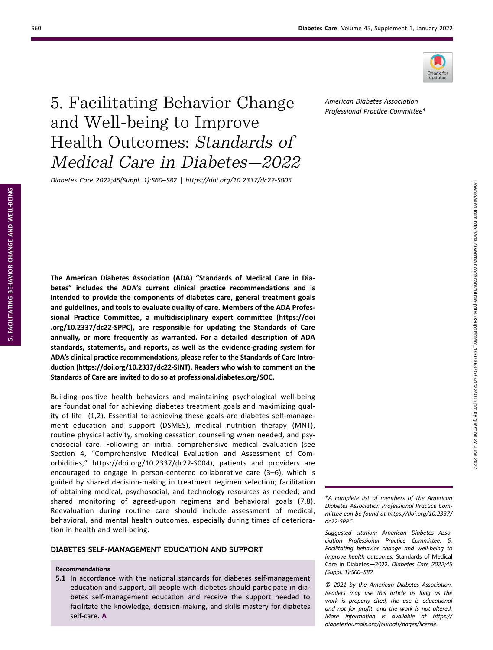

# 5. Facilitating Behavior Change and Well-being to Improve Health Outcomes: Standards of Medical Care in Diabetes—2022

Diabetes Care 2022;45(Suppl. 1):S60–S82 | https://doi.org/10.2337/dc22-S005

The American Diabetes Association (ADA) "Standards of Medical Care in Diabetes" includes the ADA's current clinical practice recommendations and is intended to provide the components of diabetes care, general treatment goals and guidelines, and tools to evaluate quality of care. Members of the ADA Professional Practice Committee, a multidisciplinary expert committee [\(https://doi](https://doi.org/10.2337/dc22-SPPC) [.org/10.2337/dc22-SPPC\)](https://doi.org/10.2337/dc22-SPPC), are responsible for updating the Standards of Care annually, or more frequently as warranted. For a detailed description of ADA standards, statements, and reports, as well as the evidence-grading system for ADA's clinical practice recommendations, please refer to the Standards of Care Introduction ([https://doi.org/10.2337/dc22-SINT\)](https://doi.org/10.2337/dc22-SINT). Readers who wish to comment on the Standards of Care are invited to do so at [professional.diabetes.org/SOC](https://professional.diabetes.org/SOC).

Building positive health behaviors and maintaining psychological well-being are foundational for achieving diabetes treatment goals and maximizing quality of life (1,2). Essential to achieving these goals are diabetes self-management education and support (DSMES), medical nutrition therapy (MNT), routine physical activity, smoking cessation counseling when needed, and psychosocial care. Following an initial comprehensive medical evaluation (see Section 4, "Comprehensive Medical Evaluation and Assessment of Comorbidities," <https://doi.org/10.2337/dc22-S004>), patients and providers are encouraged to engage in person-centered collaborative care (3–6), which is guided by shared decision-making in treatment regimen selection; facilitation of obtaining medical, psychosocial, and technology resources as needed; and shared monitoring of agreed-upon regimens and behavioral goals (7,8). Reevaluation during routine care should include assessment of medical, behavioral, and mental health outcomes, especially during times of deterioration in health and well-being.

# DIABETES SELF-MANAGEMENT EDUCATION AND SUPPORT

# Recommendations

5.1 In accordance with the national standards for diabetes self-management education and support, all people with diabetes should participate in diabetes self-management education and receive the support needed to facilitate the knowledge, decision-making, and skills mastery for diabetes self-care. A

\*A complete list of members of the American Diabetes Association Professional Practice Committee can be found at [https://doi.org/10.2337/](https://doi.org/10.2337/dc22-SPPC) [dc22-SPPC.](https://doi.org/10.2337/dc22-SPPC)

Suggested citation: American Diabetes Association Professional Practice Committee. 5. Facilitating behavior change and well-being to improve health outcomes: Standards of Medical Care in Diabetes—2022. Diabetes Care 2022;45 (Suppl. 1):S60–S82

© 2021 by the American Diabetes Association. Readers may use this article as long as the work is properly cited, the use is educational and not for profit, and the work is not altered. More information is available at [https://](https://diabetesjournals.org/journals/pages/license) [diabetesjournals.org/journals/pages/license.](https://diabetesjournals.org/journals/pages/license)

American Diabetes Association Professional Practice Committee\*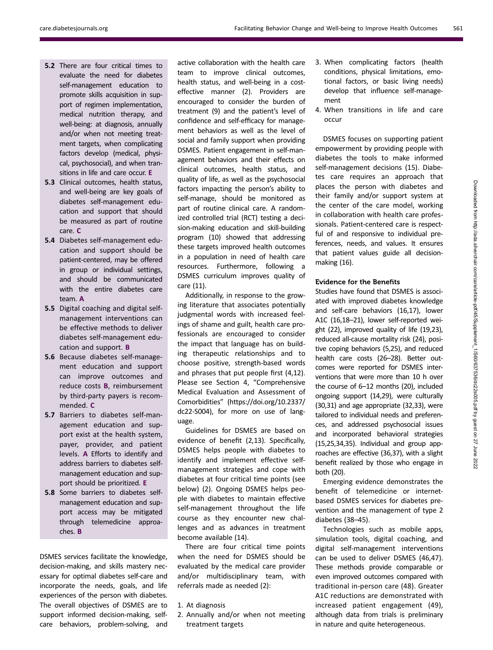- 5.2 There are four critical times to evaluate the need for diabetes self-management education to promote skills acquisition in support of regimen implementation, medical nutrition therapy, and well-being: at diagnosis, annually and/or when not meeting treatment targets, when complicating factors develop (medical, physical, psychosocial), and when transitions in life and care occur. E
- 5.3 Clinical outcomes, health status, and well-being are key goals of diabetes self-management education and support that should be measured as part of routine care. C
- 5.4 Diabetes self-management education and support should be patient-centered, may be offered in group or individual settings, and should be communicated with the entire diabetes care team. A
- 5.5 Digital coaching and digital selfmanagement interventions can be effective methods to deliver diabetes self-management education and support. B
- 5.6 Because diabetes self-management education and support can improve outcomes and reduce costs B, reimbursement by third-party payers is recommended. C
- 5.7 Barriers to diabetes self-management education and support exist at the health system, payer, provider, and patient levels. A Efforts to identify and address barriers to diabetes selfmanagement education and support should be prioritized. E
- 5.8 Some barriers to diabetes selfmanagement education and support access may be mitigated through telemedicine approaches. B

DSMES services facilitate the knowledge, decision-making, and skills mastery necessary for optimal diabetes self-care and incorporate the needs, goals, and life experiences of the person with diabetes. The overall objectives of DSMES are to support informed decision-making, selfcare behaviors, problem-solving, and active collaboration with the health care team to improve clinical outcomes, health status, and well-being in a costeffective manner (2). Providers are encouraged to consider the burden of treatment (9) and the patient's level of confidence and self-efficacy for management behaviors as well as the level of social and family support when providing DSMES. Patient engagement in self-management behaviors and their effects on clinical outcomes, health status, and quality of life, as well as the psychosocial factors impacting the person's ability to self-manage, should be monitored as part of routine clinical care. A randomized controlled trial (RCT) testing a decision-making education and skill-building program (10) showed that addressing these targets improved health outcomes in a population in need of health care resources. Furthermore, following a DSMES curriculum improves quality of care (11).

Additionally, in response to the growing literature that associates potentially judgmental words with increased feelings of shame and guilt, health care professionals are encouraged to consider the impact that language has on building therapeutic relationships and to choose positive, strength-based words and phrases that put people first (4,12). Please see Section 4, "Comprehensive Medical Evaluation and Assessment of Comorbidities" ([https://doi.org/10.2337/](https://doi.org/10.2337/dc22-S004) [dc22-S004](https://doi.org/10.2337/dc22-S004)), for more on use of language.

Guidelines for DSMES are based on evidence of benefit (2,13). Specifically, DSMES helps people with diabetes to identify and implement effective selfmanagement strategies and cope with diabetes at four critical time points (see below) (2). Ongoing DSMES helps people with diabetes to maintain effective self-management throughout the life course as they encounter new challenges and as advances in treatment become available (14).

There are four critical time points when the need for DSMES should be evaluated by the medical care provider and/or multidisciplinary team, with referrals made as needed (2):

2. Annually and/or when not meeting treatment targets

- 3. When complicating factors (health conditions, physical limitations, emotional factors, or basic living needs) develop that influence self-management
- 4. When transitions in life and care occur

DSMES focuses on supporting patient empowerment by providing people with diabetes the tools to make informed self-management decisions (15). Diabetes care requires an approach that places the person with diabetes and their family and/or support system at the center of the care model, working in collaboration with health care professionals. Patient-centered care is respectful of and responsive to individual preferences, needs, and values. It ensures that patient values guide all decisionmaking (16).

# Evidence for the Benefits

Studies have found that DSMES is associated with improved diabetes knowledge and self-care behaviors (16,17), lower A1C (16,18–21), lower self-reported weight (22), improved quality of life (19,23), reduced all-cause mortality risk (24), positive coping behaviors (5,25), and reduced health care costs (26–28). Better outcomes were reported for DSMES interventions that were more than 10 h over the course of 6–12 months (20), included ongoing support (14,29), were culturally (30,31) and age appropriate (32,33), were tailored to individual needs and preferences, and addressed psychosocial issues and incorporated behavioral strategies (15,25,34,35). Individual and group approaches are effective (36,37), with a slight benefit realized by those who engage in both (20).

Emerging evidence demonstrates the benefit of telemedicine or internetbased DSMES services for diabetes prevention and the management of type 2 diabetes (38–45).

Technologies such as mobile apps, simulation tools, digital coaching, and digital self-management interventions can be used to deliver DSMES (46,47). These methods provide comparable or even improved outcomes compared with traditional in-person care (48). Greater A1C reductions are demonstrated with increased patient engagement (49), although data from trials is preliminary in nature and quite heterogeneous.

<sup>1.</sup> At diagnosis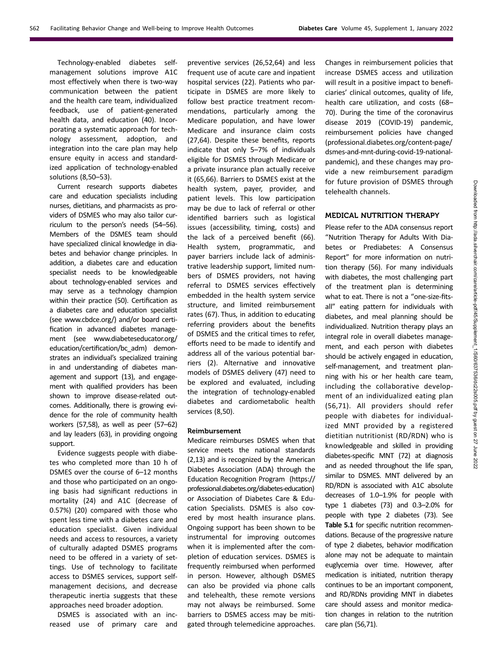Technology-enabled diabetes selfmanagement solutions improve A1C most effectively when there is two-way communication between the patient and the health care team, individualized feedback, use of patient-generated health data, and education (40). Incorporating a systematic approach for technology assessment, adoption, and integration into the care plan may help ensure equity in access and standardized application of technology-enabled solutions (8,50–53).

Current research supports diabetes care and education specialists including nurses, dietitians, and pharmacists as providers of DSMES who may also tailor curriculum to the person's needs (54–56). Members of the DSMES team should have specialized clinical knowledge in diabetes and behavior change principles. In addition, a diabetes care and education specialist needs to be knowledgeable about technology-enabled services and may serve as a technology champion within their practice (50). Certification as a diabetes care and education specialist (see [www.cbdce.org/](http://www.cbdce.org/)) and/or board certification in advanced diabetes management (see [www.diabeteseducator.org/](http://www.diabeteseducator.org/education/certification/bc_adm) [education/certi](http://www.diabeteseducator.org/education/certification/bc_adm)fication/bc\_adm) demonstrates an individual's specialized training in and understanding of diabetes management and support (13), and engagement with qualified providers has been shown to improve disease-related outcomes. Additionally, there is growing evidence for the role of community health workers (57,58), as well as peer (57–62) and lay leaders (63), in providing ongoing support.

Evidence suggests people with diabetes who completed more than 10 h of DSMES over the course of 6–12 months and those who participated on an ongoing basis had significant reductions in mortality (24) and A1C (decrease of 0.57%) (20) compared with those who spent less time with a diabetes care and education specialist. Given individual needs and access to resources, a variety of culturally adapted DSMES programs need to be offered in a variety of settings. Use of technology to facilitate access to DSMES services, support selfmanagement decisions, and decrease therapeutic inertia suggests that these approaches need broader adoption.

DSMES is associated with an increased use of primary care and preventive services (26,52,64) and less frequent use of acute care and inpatient hospital services (22). Patients who participate in DSMES are more likely to follow best practice treatment recommendations, particularly among the Medicare population, and have lower Medicare and insurance claim costs (27,64). Despite these benefits, reports indicate that only 5–7% of individuals eligible for DSMES through Medicare or a private insurance plan actually receive it (65,66). Barriers to DSMES exist at the health system, payer, provider, and patient levels. This low participation may be due to lack of referral or other identified barriers such as logistical issues (accessibility, timing, costs) and the lack of a perceived benefit (66). Health system, programmatic, and payer barriers include lack of administrative leadership support, limited numbers of DSMES providers, not having referral to DSMES services effectively embedded in the health system service structure, and limited reimbursement rates (67). Thus, in addition to educating referring providers about the benefits of DSMES and the critical times to refer, efforts need to be made to identify and address all of the various potential barriers (2). Alternative and innovative models of DSMES delivery (47) need to be explored and evaluated, including the integration of technology-enabled diabetes and cardiometabolic health services (8,50).

#### Reimbursement

Medicare reimburses DSMES when that service meets the national standards (2,13) and is recognized by the American Diabetes Association (ADA) through the Education Recognition Program [\(https://](https://professional.diabetes.org/diabetes-education) [professional.diabetes.org/diabetes-education](https://professional.diabetes.org/diabetes-education)) or Association of Diabetes Care & Education Specialists. DSMES is also covered by most health insurance plans. Ongoing support has been shown to be instrumental for improving outcomes when it is implemented after the completion of education services. DSMES is frequently reimbursed when performed in person. However, although DSMES can also be provided via phone calls and telehealth, these remote versions may not always be reimbursed. Some barriers to DSMES access may be mitigated through telemedicine approaches.

Changes in reimbursement policies that increase DSMES access and utilization will result in a positive impact to beneficiaries' clinical outcomes, quality of life, health care utilization, and costs (68– 70). During the time of the coronavirus disease 2019 (COVID-19) pandemic, reimbursement policies have changed ([professional.diabetes.org/content-page/](http://professional.diabetes.org/content-page/dsmes-and-mnt-during-covid-19-national-pandemic) [dsmes-and-mnt-during-covid-19-national](http://professional.diabetes.org/content-page/dsmes-and-mnt-during-covid-19-national-pandemic)[pandemic](http://professional.diabetes.org/content-page/dsmes-and-mnt-during-covid-19-national-pandemic)), and these changes may provide a new reimbursement paradigm for future provision of DSMES through telehealth channels.

# MEDICAL NUTRITION THERAPY

Please refer to the ADA consensus report "Nutrition Therapy for Adults With Diabetes or Prediabetes: A Consensus Report" for more information on nutrition therapy (56). For many individuals with diabetes, the most challenging part of the treatment plan is determining what to eat. There is not a "one-size-fitsall" eating pattern for individuals with diabetes, and meal planning should be individualized. Nutrition therapy plays an integral role in overall diabetes management, and each person with diabetes should be actively engaged in education, self-management, and treatment planning with his or her health care team, including the collaborative development of an individualized eating plan (56,71). All providers should refer people with diabetes for individualized MNT provided by a registered dietitian nutritionist (RD/RDN) who is knowledgeable and skilled in providing diabetes-specific MNT (72) at diagnosis and as needed throughout the life span, similar to DSMES. MNT delivered by an RD/RDN is associated with A1C absolute decreases of 1.0–1.9% for people with type 1 diabetes (73) and 0.3–2.0% for people with type 2 diabetes (73). See Table 5.1 for specific nutrition recommendations. Because of the progressive nature of type 2 diabetes, behavior modification alone may not be adequate to maintain euglycemia over time. However, after medication is initiated, nutrition therapy continues to be an important component, and RD/RDNs providing MNT in diabetes care should assess and monitor medication changes in relation to the nutrition care plan (56,71).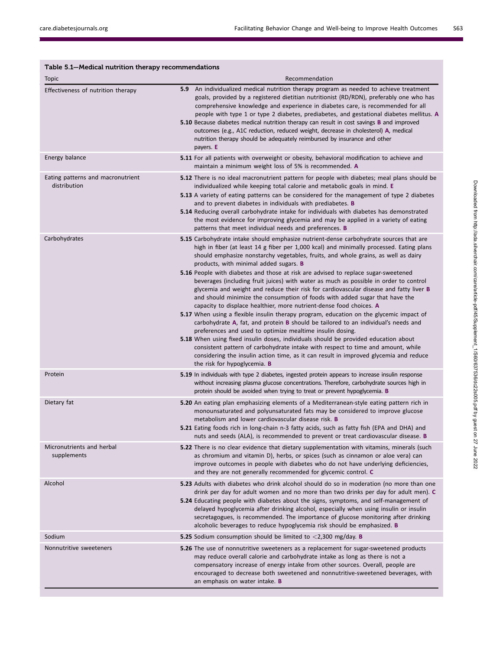| Table 5.1-Medical nutrition therapy recommendations<br>Topic | Recommendation                                                                                                                                                                                                                                                                                                                                                                                                                                                                                                                                                                                                                                                                                                                                                                                                                                                                                                                                                                                                                                                                                                                                                                                                                                                                                                                  |
|--------------------------------------------------------------|---------------------------------------------------------------------------------------------------------------------------------------------------------------------------------------------------------------------------------------------------------------------------------------------------------------------------------------------------------------------------------------------------------------------------------------------------------------------------------------------------------------------------------------------------------------------------------------------------------------------------------------------------------------------------------------------------------------------------------------------------------------------------------------------------------------------------------------------------------------------------------------------------------------------------------------------------------------------------------------------------------------------------------------------------------------------------------------------------------------------------------------------------------------------------------------------------------------------------------------------------------------------------------------------------------------------------------|
| Effectiveness of nutrition therapy                           | An individualized medical nutrition therapy program as needed to achieve treatment<br>5.9<br>goals, provided by a registered dietitian nutritionist (RD/RDN), preferably one who has<br>comprehensive knowledge and experience in diabetes care, is recommended for all<br>people with type 1 or type 2 diabetes, prediabetes, and gestational diabetes mellitus. A<br><b>5.10</b> Because diabetes medical nutrition therapy can result in cost savings <b>B</b> and improved<br>outcomes (e.g., A1C reduction, reduced weight, decrease in cholesterol) A, medical<br>nutrition therapy should be adequately reimbursed by insurance and other<br>payers. E                                                                                                                                                                                                                                                                                                                                                                                                                                                                                                                                                                                                                                                                   |
| Energy balance                                               | <b>5.11</b> For all patients with overweight or obesity, behavioral modification to achieve and<br>maintain a minimum weight loss of 5% is recommended. A                                                                                                                                                                                                                                                                                                                                                                                                                                                                                                                                                                                                                                                                                                                                                                                                                                                                                                                                                                                                                                                                                                                                                                       |
| Eating patterns and macronutrient<br>distribution            | <b>5.12</b> There is no ideal macronutrient pattern for people with diabetes; meal plans should be<br>individualized while keeping total calorie and metabolic goals in mind. E<br><b>5.13</b> A variety of eating patterns can be considered for the management of type 2 diabetes<br>and to prevent diabetes in individuals with prediabetes. <b>B</b><br><b>5.14</b> Reducing overall carbohydrate intake for individuals with diabetes has demonstrated<br>the most evidence for improving glycemia and may be applied in a variety of eating<br>patterns that meet individual needs and preferences. <b>B</b>                                                                                                                                                                                                                                                                                                                                                                                                                                                                                                                                                                                                                                                                                                              |
| Carbohydrates                                                | 5.15 Carbohydrate intake should emphasize nutrient-dense carbohydrate sources that are<br>high in fiber (at least 14 g fiber per 1,000 kcal) and minimally processed. Eating plans<br>should emphasize nonstarchy vegetables, fruits, and whole grains, as well as dairy<br>products, with minimal added sugars. B<br>5.16 People with diabetes and those at risk are advised to replace sugar-sweetened<br>beverages (including fruit juices) with water as much as possible in order to control<br>glycemia and weight and reduce their risk for cardiovascular disease and fatty liver <b>B</b><br>and should minimize the consumption of foods with added sugar that have the<br>capacity to displace healthier, more nutrient-dense food choices. A<br><b>5.17</b> When using a flexible insulin therapy program, education on the glycemic impact of<br>carbohydrate A, fat, and protein B should be tailored to an individual's needs and<br>preferences and used to optimize mealtime insulin dosing.<br><b>5.18</b> When using fixed insulin doses, individuals should be provided education about<br>consistent pattern of carbohydrate intake with respect to time and amount, while<br>considering the insulin action time, as it can result in improved glycemia and reduce<br>the risk for hypoglycemia. <b>B</b> |
| Protein                                                      | <b>5.19</b> In individuals with type 2 diabetes, ingested protein appears to increase insulin response<br>without increasing plasma glucose concentrations. Therefore, carbohydrate sources high in<br>protein should be avoided when trying to treat or prevent hypoglycemia. <b>B</b>                                                                                                                                                                                                                                                                                                                                                                                                                                                                                                                                                                                                                                                                                                                                                                                                                                                                                                                                                                                                                                         |
| Dietary fat                                                  | 5.20 An eating plan emphasizing elements of a Mediterranean-style eating pattern rich in<br>monounsaturated and polyunsaturated fats may be considered to improve glucose<br>metabolism and lower cardiovascular disease risk. <b>B</b><br>5.21 Eating foods rich in long-chain n-3 fatty acids, such as fatty fish (EPA and DHA) and<br>nuts and seeds (ALA), is recommended to prevent or treat cardiovascular disease. B                                                                                                                                                                                                                                                                                                                                                                                                                                                                                                                                                                                                                                                                                                                                                                                                                                                                                                     |
| Micronutrients and herbal<br>supplements                     | <b>5.22</b> There is no clear evidence that dietary supplementation with vitamins, minerals (such<br>as chromium and vitamin D), herbs, or spices (such as cinnamon or aloe vera) can<br>improve outcomes in people with diabetes who do not have underlying deficiencies,<br>and they are not generally recommended for glycemic control. C                                                                                                                                                                                                                                                                                                                                                                                                                                                                                                                                                                                                                                                                                                                                                                                                                                                                                                                                                                                    |
| Alcohol                                                      | <b>5.23</b> Adults with diabetes who drink alcohol should do so in moderation (no more than one<br>drink per day for adult women and no more than two drinks per day for adult men). C<br>5.24 Educating people with diabetes about the signs, symptoms, and self-management of<br>delayed hypoglycemia after drinking alcohol, especially when using insulin or insulin<br>secretagogues, is recommended. The importance of glucose monitoring after drinking<br>alcoholic beverages to reduce hypoglycemia risk should be emphasized. B                                                                                                                                                                                                                                                                                                                                                                                                                                                                                                                                                                                                                                                                                                                                                                                       |
| Sodium                                                       | <b>5.25</b> Sodium consumption should be limited to $\langle 2,300 \rangle$ mg/day. <b>B</b>                                                                                                                                                                                                                                                                                                                                                                                                                                                                                                                                                                                                                                                                                                                                                                                                                                                                                                                                                                                                                                                                                                                                                                                                                                    |
| Nonnutritive sweeteners                                      | <b>5.26</b> The use of nonnutritive sweeteners as a replacement for sugar-sweetened products<br>may reduce overall calorie and carbohydrate intake as long as there is not a<br>compensatory increase of energy intake from other sources. Overall, people are<br>encouraged to decrease both sweetened and nonnutritive-sweetened beverages, with<br>an emphasis on water intake. B                                                                                                                                                                                                                                                                                                                                                                                                                                                                                                                                                                                                                                                                                                                                                                                                                                                                                                                                            |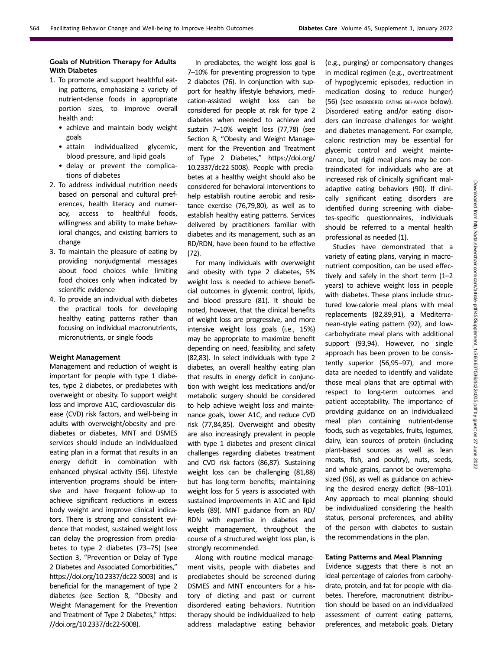# Goals of Nutrition Therapy for Adults With Diabetes

- 1. To promote and support healthful eating patterns, emphasizing a variety of nutrient-dense foods in appropriate portion sizes, to improve overall health and:
	- achieve and maintain body weight goals
	- attain individualized glycemic, blood pressure, and lipid goals
	- delay or prevent the complications of diabetes
- 2. To address individual nutrition needs based on personal and cultural preferences, health literacy and numeracy, access to healthful foods, willingness and ability to make behavioral changes, and existing barriers to change
- 3. To maintain the pleasure of eating by providing nonjudgmental messages about food choices while limiting food choices only when indicated by scientific evidence
- 4. To provide an individual with diabetes the practical tools for developing healthy eating patterns rather than focusing on individual macronutrients, micronutrients, or single foods

# Weight Management

Management and reduction of weight is important for people with type 1 diabetes, type 2 diabetes, or prediabetes with overweight or obesity. To support weight loss and improve A1C, cardiovascular disease (CVD) risk factors, and well-being in adults with overweight/obesity and prediabetes or diabetes, MNT and DSMES services should include an individualized eating plan in a format that results in an energy deficit in combination with enhanced physical activity (56). Lifestyle intervention programs should be intensive and have frequent follow-up to achieve significant reductions in excess body weight and improve clinical indicators. There is strong and consistent evidence that modest, sustained weight loss can delay the progression from prediabetes to type 2 diabetes (73–75) (see Section 3, "Prevention or Delay of Type 2 Diabetes and Associated Comorbidities," [https://doi.org/10.2337/dc22-S003\)](https://doi.org/10.2337/dc22-S003) and is beneficial for the management of type 2 diabetes (see Section 8, "Obesity and Weight Management for the Prevention and Treatment of Type 2 Diabetes," [https:](https://doi.org/10.2337/dc22-S008) [//doi.org/10.2337/dc22-S008](https://doi.org/10.2337/dc22-S008)).

In prediabetes, the weight loss goal is 7–10% for preventing progression to type 2 diabetes (76). In conjunction with support for healthy lifestyle behaviors, medication-assisted weight loss can be considered for people at risk for type 2 diabetes when needed to achieve and sustain 7–10% weight loss (77,78) (see Section 8, "Obesity and Weight Management for the Prevention and Treatment of Type 2 Diabetes," [https://doi.org/](https://doi.org/10.2337/dc22-S008) [10.2337/dc22-S008](https://doi.org/10.2337/dc22-S008)). People with prediabetes at a healthy weight should also be considered for behavioral interventions to help establish routine aerobic and resistance exercise (76,79,80), as well as to establish healthy eating patterns. Services delivered by practitioners familiar with diabetes and its management, such as an RD/RDN, have been found to be effective (72).

For many individuals with overweight and obesity with type 2 diabetes, 5% weight loss is needed to achieve beneficial outcomes in glycemic control, lipids, and blood pressure (81). It should be noted, however, that the clinical benefits of weight loss are progressive, and more intensive weight loss goals (i.e., 15%) may be appropriate to maximize benefit depending on need, feasibility, and safety (82,83). In select individuals with type 2 diabetes, an overall healthy eating plan that results in energy deficit in conjunction with weight loss medications and/or metabolic surgery should be considered to help achieve weight loss and maintenance goals, lower A1C, and reduce CVD risk (77,84,85). Overweight and obesity are also increasingly prevalent in people with type 1 diabetes and present clinical challenges regarding diabetes treatment and CVD risk factors (86,87). Sustaining weight loss can be challenging (81,88) but has long-term benefits; maintaining weight loss for 5 years is associated with sustained improvements in A1C and lipid levels (89). MNT guidance from an RD/ RDN with expertise in diabetes and weight management, throughout the course of a structured weight loss plan, is strongly recommended.

Along with routine medical management visits, people with diabetes and prediabetes should be screened during DSMES and MNT encounters for a history of dieting and past or current disordered eating behaviors. Nutrition therapy should be individualized to help address maladaptive eating behavior

(e.g., purging) or compensatory changes in medical regimen (e.g., overtreatment of hypoglycemic episodes, reduction in medication dosing to reduce hunger) (56) (see DISORDERED EATING BEHAVIOR below). Disordered eating and/or eating disorders can increase challenges for weight and diabetes management. For example, caloric restriction may be essential for glycemic control and weight maintenance, but rigid meal plans may be contraindicated for individuals who are at increased risk of clinically significant maladaptive eating behaviors (90). If clinically significant eating disorders are identified during screening with diabetes-specific questionnaires, individuals should be referred to a mental health professional as needed (1).

Studies have demonstrated that a variety of eating plans, varying in macronutrient composition, can be used effectively and safely in the short term (1–2 years) to achieve weight loss in people with diabetes. These plans include structured low-calorie meal plans with meal replacements (82,89,91), a Mediterranean-style eating pattern (92), and lowcarbohydrate meal plans with additional support (93,94). However, no single approach has been proven to be consistently superior (56,95–97), and more data are needed to identify and validate those meal plans that are optimal with respect to long-term outcomes and patient acceptability. The importance of providing guidance on an individualized meal plan containing nutrient-dense foods, such as vegetables, fruits, legumes, dairy, lean sources of protein (including plant-based sources as well as lean meats, fish, and poultry), nuts, seeds, and whole grains, cannot be overemphasized (96), as well as guidance on achieving the desired energy deficit (98–101). Any approach to meal planning should be individualized considering the health status, personal preferences, and ability of the person with diabetes to sustain the recommendations in the plan.

## Eating Patterns and Meal Planning

Evidence suggests that there is not an ideal percentage of calories from carbohydrate, protein, and fat for people with diabetes. Therefore, macronutrient distribution should be based on an individualized assessment of current eating patterns, preferences, and metabolic goals. Dietary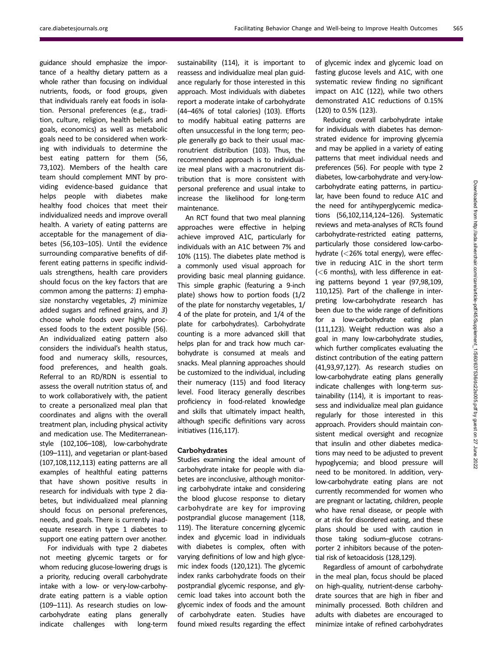guidance should emphasize the importance of a healthy dietary pattern as a whole rather than focusing on individual nutrients, foods, or food groups, given that individuals rarely eat foods in isolation. Personal preferences (e.g., tradition, culture, religion, health beliefs and goals, economics) as well as metabolic goals need to be considered when working with individuals to determine the best eating pattern for them (56, 73,102). Members of the health care team should complement MNT by providing evidence-based guidance that helps people with diabetes make healthy food choices that meet their individualized needs and improve overall health. A variety of eating patterns are acceptable for the management of diabetes (56,103–105). Until the evidence surrounding comparative benefits of different eating patterns in specific individuals strengthens, health care providers should focus on the key factors that are common among the patterns: 1) emphasize nonstarchy vegetables, 2) minimize added sugars and refined grains, and 3) choose whole foods over highly processed foods to the extent possible (56). An individualized eating pattern also considers the individual's health status, food and numeracy skills, resources, food preferences, and health goals. Referral to an RD/RDN is essential to assess the overall nutrition status of, and to work collaboratively with, the patient to create a personalized meal plan that coordinates and aligns with the overall treatment plan, including physical activity and medication use. The Mediterraneanstyle (102,106–108), low-carbohydrate (109–111), and vegetarian or plant-based (107,108,112,113) eating patterns are all examples of healthful eating patterns that have shown positive results in research for individuals with type 2 diabetes, but individualized meal planning should focus on personal preferences, needs, and goals. There is currently inadequate research in type 1 diabetes to support one eating pattern over another.

For individuals with type 2 diabetes not meeting glycemic targets or for whom reducing glucose-lowering drugs is a priority, reducing overall carbohydrate intake with a low- or very-low-carbohydrate eating pattern is a viable option (109–111). As research studies on lowcarbohydrate eating plans generally indicate challenges with long-term sustainability (114), it is important to reassess and individualize meal plan guidance regularly for those interested in this approach. Most individuals with diabetes report a moderate intake of carbohydrate (44–46% of total calories) (103). Efforts to modify habitual eating patterns are often unsuccessful in the long term; people generally go back to their usual macronutrient distribution (103). Thus, the recommended approach is to individualize meal plans with a macronutrient distribution that is more consistent with personal preference and usual intake to increase the likelihood for long-term maintenance.

An RCT found that two meal planning approaches were effective in helping achieve improved A1C, particularly for individuals with an A1C between 7% and 10% (115). The diabetes plate method is a commonly used visual approach for providing basic meal planning guidance. This simple graphic (featuring a 9-inch plate) shows how to portion foods (1/2 of the plate for nonstarchy vegetables, 1/ 4 of the plate for protein, and 1/4 of the plate for carbohydrates). Carbohydrate counting is a more advanced skill that helps plan for and track how much carbohydrate is consumed at meals and snacks. Meal planning approaches should be customized to the individual, including their numeracy (115) and food literacy level. Food literacy generally describes proficiency in food-related knowledge and skills that ultimately impact health, although specific definitions vary across initiatives (116,117).

# Carbohydrates

Studies examining the ideal amount of carbohydrate intake for people with diabetes are inconclusive, although monitoring carbohydrate intake and considering the blood glucose response to dietary carbohydrate are key for improving postprandial glucose management (118, 119). The literature concerning glycemic index and glycemic load in individuals with diabetes is complex, often with varying definitions of low and high glycemic index foods (120,121). The glycemic index ranks carbohydrate foods on their postprandial glycemic response, and glycemic load takes into account both the glycemic index of foods and the amount of carbohydrate eaten. Studies have found mixed results regarding the effect

of glycemic index and glycemic load on fasting glucose levels and A1C, with one systematic review finding no significant impact on A1C (122), while two others demonstrated A1C reductions of 0.15% (120) to 0.5% (123).

Reducing overall carbohydrate intake for individuals with diabetes has demonstrated evidence for improving glycemia and may be applied in a variety of eating patterns that meet individual needs and preferences (56). For people with type 2 diabetes, low-carbohydrate and very-lowcarbohydrate eating patterns, in particular, have been found to reduce A1C and the need for antihyperglycemic medications (56,102,114,124–126). Systematic reviews and meta-analyses of RCTs found carbohydrate-restricted eating patterns, particularly those considered low-carbohydrate (<26% total energy), were effective in reducing A1C in the short term (<6 months), with less difference in eating patterns beyond 1 year (97,98,109, 110,125). Part of the challenge in interpreting low-carbohydrate research has been due to the wide range of definitions for a low-carbohydrate eating plan (111,123). Weight reduction was also a goal in many low-carbohydrate studies, which further complicates evaluating the distinct contribution of the eating pattern (41,93,97,127). As research studies on low-carbohydrate eating plans generally indicate challenges with long-term sustainability (114), it is important to reassess and individualize meal plan guidance regularly for those interested in this approach. Providers should maintain consistent medical oversight and recognize that insulin and other diabetes medications may need to be adjusted to prevent hypoglycemia; and blood pressure will need to be monitored. In addition, verylow-carbohydrate eating plans are not currently recommended for women who are pregnant or lactating, children, people who have renal disease, or people with or at risk for disordered eating, and these plans should be used with caution in those taking sodium–glucose cotransporter 2 inhibitors because of the potential risk of ketoacidosis (128,129).

Regardless of amount of carbohydrate in the meal plan, focus should be placed on high-quality, nutrient-dense carbohydrate sources that are high in fiber and minimally processed. Both children and adults with diabetes are encouraged to minimize intake of refined carbohydrates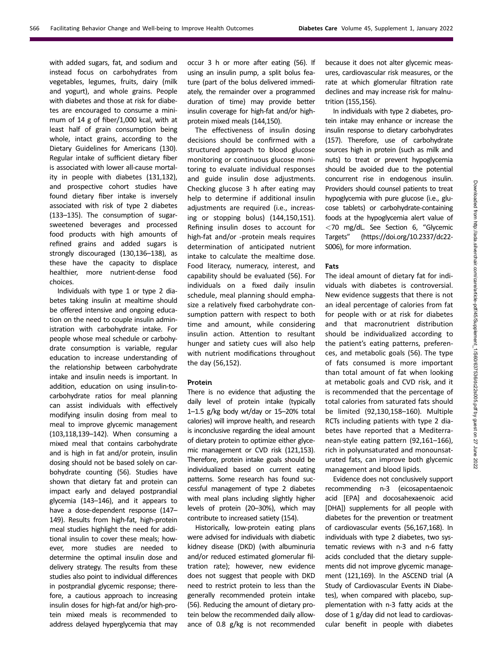with added sugars, fat, and sodium and instead focus on carbohydrates from vegetables, legumes, fruits, dairy (milk and yogurt), and whole grains. People with diabetes and those at risk for diabetes are encouraged to consume a minimum of 14 g of fiber/1,000 kcal, with at least half of grain consumption being whole, intact grains, according to the Dietary Guidelines for Americans (130). Regular intake of sufficient dietary fiber is associated with lower all-cause mortality in people with diabetes (131,132), and prospective cohort studies have found dietary fiber intake is inversely associated with risk of type 2 diabetes (133–135). The consumption of sugarsweetened beverages and processed food products with high amounts of refined grains and added sugars is strongly discouraged (130,136–138), as these have the capacity to displace healthier, more nutrient-dense food choices.

Individuals with type 1 or type 2 diabetes taking insulin at mealtime should be offered intensive and ongoing education on the need to couple insulin administration with carbohydrate intake. For people whose meal schedule or carbohydrate consumption is variable, regular education to increase understanding of the relationship between carbohydrate intake and insulin needs is important. In addition, education on using insulin-tocarbohydrate ratios for meal planning can assist individuals with effectively modifying insulin dosing from meal to meal to improve glycemic management (103,118,139–142). When consuming a mixed meal that contains carbohydrate and is high in fat and/or protein, insulin dosing should not be based solely on carbohydrate counting (56). Studies have shown that dietary fat and protein can impact early and delayed postprandial glycemia (143–146), and it appears to have a dose-dependent response (147– 149). Results from high-fat, high-protein meal studies highlight the need for additional insulin to cover these meals; however, more studies are needed to determine the optimal insulin dose and delivery strategy. The results from these studies also point to individual differences in postprandial glycemic response; therefore, a cautious approach to increasing insulin doses for high-fat and/or high-protein mixed meals is recommended to address delayed hyperglycemia that may

occur 3 h or more after eating (56). If using an insulin pump, a split bolus feature (part of the bolus delivered immediately, the remainder over a programmed duration of time) may provide better insulin coverage for high-fat and/or highprotein mixed meals (144,150).

The effectiveness of insulin dosing decisions should be confirmed with a structured approach to blood glucose monitoring or continuous glucose monitoring to evaluate individual responses and guide insulin dose adjustments. Checking glucose 3 h after eating may help to determine if additional insulin adjustments are required (i.e., increasing or stopping bolus) (144,150,151). Refining insulin doses to account for high-fat and/or -protein meals requires determination of anticipated nutrient intake to calculate the mealtime dose. Food literacy, numeracy, interest, and capability should be evaluated (56). For individuals on a fixed daily insulin schedule, meal planning should emphasize a relatively fixed carbohydrate consumption pattern with respect to both time and amount, while considering insulin action. Attention to resultant hunger and satiety cues will also help with nutrient modifications throughout the day (56,152).

#### Protein

There is no evidence that adjusting the daily level of protein intake (typically 1–1.5 g/kg body wt/day or 15–20% total calories) will improve health, and research is inconclusive regarding the ideal amount of dietary protein to optimize either glycemic management or CVD risk (121,153). Therefore, protein intake goals should be individualized based on current eating patterns. Some research has found successful management of type 2 diabetes with meal plans including slightly higher levels of protein (20–30%), which may contribute to increased satiety (154).

Historically, low-protein eating plans were advised for individuals with diabetic kidney disease (DKD) (with albuminuria and/or reduced estimated glomerular filtration rate); however, new evidence does not suggest that people with DKD need to restrict protein to less than the generally recommended protein intake (56). Reducing the amount of dietary protein below the recommended daily allowance of 0.8 g/kg is not recommended because it does not alter glycemic measures, cardiovascular risk measures, or the rate at which glomerular filtration rate declines and may increase risk for malnutrition (155,156).

In individuals with type 2 diabetes, protein intake may enhance or increase the insulin response to dietary carbohydrates (157). Therefore, use of carbohydrate sources high in protein (such as milk and nuts) to treat or prevent hypoglycemia should be avoided due to the potential concurrent rise in endogenous insulin. Providers should counsel patients to treat hypoglycemia with pure glucose (i.e., glucose tablets) or carbohydrate-containing foods at the hypoglycemia alert value of <70 mg/dL. See Section 6, "Glycemic Targets" ([https://doi.org/10.2337/dc22-](https://doi.org/10.2337/dc22-S006) [S006](https://doi.org/10.2337/dc22-S006)), for more information.

#### Fats

The ideal amount of dietary fat for individuals with diabetes is controversial. New evidence suggests that there is not an ideal percentage of calories from fat for people with or at risk for diabetes and that macronutrient distribution should be individualized according to the patient's eating patterns, preferences, and metabolic goals (56). The type of fats consumed is more important than total amount of fat when looking at metabolic goals and CVD risk, and it is recommended that the percentage of total calories from saturated fats should be limited (92,130,158–160). Multiple RCTs including patients with type 2 diabetes have reported that a Mediterranean-style eating pattern (92,161–166), rich in polyunsaturated and monounsaturated fats, can improve both glycemic management and blood lipids.

Evidence does not conclusively support recommending n-3 (eicosapentaenoic acid [EPA] and docosahexaenoic acid [DHA]) supplements for all people with diabetes for the prevention or treatment of cardiovascular events (56,167,168). In individuals with type 2 diabetes, two systematic reviews with n-3 and n-6 fatty acids concluded that the dietary supplements did not improve glycemic management (121,169). In the ASCEND trial (A Study of Cardiovascular Events iN Diabetes), when compared with placebo, supplementation with n-3 fatty acids at the dose of 1 g/day did not lead to cardiovascular benefit in people with diabetes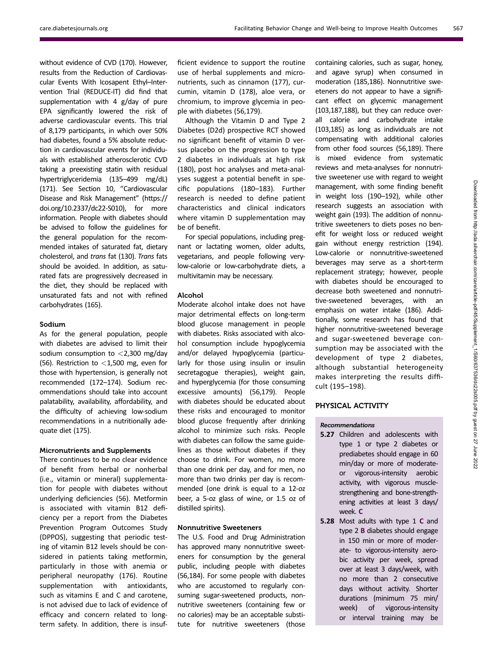without evidence of CVD (170). However, results from the Reduction of Cardiovascular Events With Icosapent Ethyl–Intervention Trial (REDUCE-IT) did find that supplementation with 4 g/day of pure EPA significantly lowered the risk of adverse cardiovascular events. This trial of 8,179 participants, in which over 50% had diabetes, found a 5% absolute reduction in cardiovascular events for individuals with established atherosclerotic CVD taking a preexisting statin with residual hypertriglyceridemia (135–499 mg/dL) (171). See Section 10, "Cardiovascular Disease and Risk Management" [\(https://](https://doi.org/10.2337/dc22-S010) [doi.org/10.2337/dc22-S010\)](https://doi.org/10.2337/dc22-S010), for more information. People with diabetes should be advised to follow the guidelines for the general population for the recommended intakes of saturated fat, dietary cholesterol, and trans fat (130). Trans fats should be avoided. In addition, as saturated fats are progressively decreased in the diet, they should be replaced with unsaturated fats and not with refined carbohydrates (165).

#### Sodium

As for the general population, people with diabetes are advised to limit their sodium consumption to  $<$  2,300 mg/day (56). Restriction to  $<$ 1,500 mg, even for those with hypertension, is generally not recommended (172–174). Sodium recommendations should take into account palatability, availability, affordability, and the difficulty of achieving low-sodium recommendations in a nutritionally adequate diet (175).

# Micronutrients and Supplements

There continues to be no clear evidence of benefit from herbal or nonherbal (i.e., vitamin or mineral) supplementation for people with diabetes without underlying deficiencies (56). Metformin is associated with vitamin B12 deficiency per a report from the Diabetes Prevention Program Outcomes Study (DPPOS), suggesting that periodic testing of vitamin B12 levels should be considered in patients taking metformin, particularly in those with anemia or peripheral neuropathy (176). Routine supplementation with antioxidants, such as vitamins E and C and carotene, is not advised due to lack of evidence of efficacy and concern related to longterm safety. In addition, there is insufficient evidence to support the routine use of herbal supplements and micronutrients, such as cinnamon (177), curcumin, vitamin D (178), aloe vera, or chromium, to improve glycemia in people with diabetes (56,179).

Although the Vitamin D and Type 2 Diabetes (D2d) prospective RCT showed no significant benefit of vitamin D versus placebo on the progression to type 2 diabetes in individuals at high risk (180), post hoc analyses and meta-analyses suggest a potential benefit in specific populations (180–183). Further research is needed to define patient characteristics and clinical indicators where vitamin D supplementation may be of benefit.

For special populations, including pregnant or lactating women, older adults, vegetarians, and people following verylow-calorie or low-carbohydrate diets, a multivitamin may be necessary.

# Alcohol

Moderate alcohol intake does not have major detrimental effects on long-term blood glucose management in people with diabetes. Risks associated with alcohol consumption include hypoglycemia and/or delayed hypoglycemia (particularly for those using insulin or insulin secretagogue therapies), weight gain, and hyperglycemia (for those consuming excessive amounts) (56,179). People with diabetes should be educated about these risks and encouraged to monitor blood glucose frequently after drinking alcohol to minimize such risks. People with diabetes can follow the same guidelines as those without diabetes if they choose to drink. For women, no more than one drink per day, and for men, no more than two drinks per day is recommended (one drink is equal to a 12-oz beer, a 5-oz glass of wine, or 1.5 oz of distilled spirits).

# Nonnutritive Sweeteners

The U.S. Food and Drug Administration has approved many nonnutritive sweeteners for consumption by the general public, including people with diabetes (56,184). For some people with diabetes who are accustomed to regularly consuming sugar-sweetened products, nonnutritive sweeteners (containing few or no calories) may be an acceptable substitute for nutritive sweeteners (those

containing calories, such as sugar, honey, and agave syrup) when consumed in moderation (185,186). Nonnutritive sweeteners do not appear to have a significant effect on glycemic management (103,187,188), but they can reduce overall calorie and carbohydrate intake (103,185) as long as individuals are not compensating with additional calories from other food sources (56,189). There is mixed evidence from systematic reviews and meta-analyses for nonnutritive sweetener use with regard to weight management, with some finding benefit in weight loss (190–192), while other research suggests an association with weight gain (193). The addition of nonnutritive sweeteners to diets poses no benefit for weight loss or reduced weight gain without energy restriction (194). Low-calorie or nonnutritive-sweetened beverages may serve as a short-term replacement strategy; however, people with diabetes should be encouraged to decrease both sweetened and nonnutritive-sweetened beverages, with an emphasis on water intake (186). Additionally, some research has found that higher nonnutritive-sweetened beverage and sugar-sweetened beverage consumption may be associated with the development of type 2 diabetes, although substantial heterogeneity makes interpreting the results difficult (195–198).

# PHYSICAL ACTIVITY

## Recommendations

- 5.27 Children and adolescents with type 1 or type 2 diabetes or prediabetes should engage in 60 min/day or more of moderateor vigorous-intensity aerobic activity, with vigorous musclestrengthening and bone-strengthening activities at least 3 days/ week. C
- 5.28 Most adults with type 1 C and type 2 B diabetes should engage in 150 min or more of moderate- to vigorous-intensity aerobic activity per week, spread over at least 3 days/week, with no more than 2 consecutive days without activity. Shorter durations (minimum 75 min/ week) of vigorous-intensity or interval training may be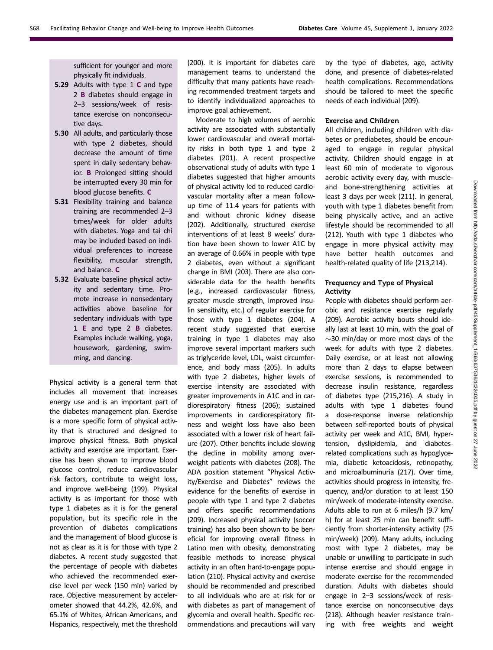sufficient for younger and more physically fit individuals.

- 5.29 Adults with type 1 C and type 2 B diabetes should engage in 2–3 sessions/week of resistance exercise on nonconsecutive days.
- 5.30 All adults, and particularly those with type 2 diabetes, should decrease the amount of time spent in daily sedentary behavior. B Prolonged sitting should be interrupted every 30 min for blood glucose benefits. C
- 5.31 Flexibility training and balance training are recommended 2–3 times/week for older adults with diabetes. Yoga and tai chi may be included based on individual preferences to increase flexibility, muscular strength, and balance. C
- 5.32 Evaluate baseline physical activity and sedentary time. Promote increase in nonsedentary activities above baseline for sedentary individuals with type 1 E and type 2 B diabetes. Examples include walking, yoga, housework, gardening, swimming, and dancing.

Physical activity is a general term that includes all movement that increases energy use and is an important part of the diabetes management plan. Exercise is a more specific form of physical activity that is structured and designed to improve physical fitness. Both physical activity and exercise are important. Exercise has been shown to improve blood glucose control, reduce cardiovascular risk factors, contribute to weight loss, and improve well-being (199). Physical activity is as important for those with type 1 diabetes as it is for the general population, but its specific role in the prevention of diabetes complications and the management of blood glucose is not as clear as it is for those with type 2 diabetes. A recent study suggested that the percentage of people with diabetes who achieved the recommended exercise level per week (150 min) varied by race. Objective measurement by accelerometer showed that 44.2%, 42.6%, and 65.1% of Whites, African Americans, and Hispanics, respectively, met the threshold

(200). It is important for diabetes care management teams to understand the difficulty that many patients have reaching recommended treatment targets and to identify individualized approaches to improve goal achievement.

Moderate to high volumes of aerobic activity are associated with substantially lower cardiovascular and overall mortality risks in both type 1 and type 2 diabetes (201). A recent prospective observational study of adults with type 1 diabetes suggested that higher amounts of physical activity led to reduced cardiovascular mortality after a mean followup time of 11.4 years for patients with and without chronic kidney disease (202). Additionally, structured exercise interventions of at least 8 weeks' duration have been shown to lower A1C by an average of 0.66% in people with type 2 diabetes, even without a significant change in BMI (203). There are also considerable data for the health benefits (e.g., increased cardiovascular fitness, greater muscle strength, improved insulin sensitivity, etc.) of regular exercise for those with type 1 diabetes (204). A recent study suggested that exercise training in type 1 diabetes may also improve several important markers such as triglyceride level, LDL, waist circumference, and body mass (205). In adults with type 2 diabetes, higher levels of exercise intensity are associated with greater improvements in A1C and in cardiorespiratory fitness (206); sustained improvements in cardiorespiratory fitness and weight loss have also been associated with a lower risk of heart failure (207). Other benefits include slowing the decline in mobility among overweight patients with diabetes (208). The ADA position statement "Physical Activity/Exercise and Diabetes" reviews the evidence for the benefits of exercise in people with type 1 and type 2 diabetes and offers specific recommendations (209). Increased physical activity (soccer training) has also been shown to be beneficial for improving overall fitness in Latino men with obesity, demonstrating feasible methods to increase physical activity in an often hard-to-engage population (210). Physical activity and exercise should be recommended and prescribed to all individuals who are at risk for or with diabetes as part of management of glycemia and overall health. Specific recommendations and precautions will vary

by the type of diabetes, age, activity done, and presence of diabetes-related health complications. Recommendations should be tailored to meet the specific needs of each individual (209).

## Exercise and Children

All children, including children with diabetes or prediabetes, should be encouraged to engage in regular physical activity. Children should engage in at least 60 min of moderate to vigorous aerobic activity every day, with muscleand bone-strengthening activities at least 3 days per week (211). In general, youth with type 1 diabetes benefit from being physically active, and an active lifestyle should be recommended to all (212). Youth with type 1 diabetes who engage in more physical activity may have better health outcomes and health-related quality of life (213,214).

# Frequency and Type of Physical Activity

People with diabetes should perform aerobic and resistance exercise regularly (209). Aerobic activity bouts should ideally last at least 10 min, with the goal of  $\sim$ 30 min/day or more most days of the week for adults with type 2 diabetes. Daily exercise, or at least not allowing more than 2 days to elapse between exercise sessions, is recommended to decrease insulin resistance, regardless of diabetes type (215,216). A study in adults with type 1 diabetes found a dose-response inverse relationship between self-reported bouts of physical activity per week and A1C, BMI, hypertension, dyslipidemia, and diabetesrelated complications such as hypoglycemia, diabetic ketoacidosis, retinopathy, and microalbuminuria (217). Over time, activities should progress in intensity, frequency, and/or duration to at least 150 min/week of moderate-intensity exercise. Adults able to run at 6 miles/h (9.7 km/ h) for at least 25 min can benefit sufficiently from shorter-intensity activity (75 min/week) (209). Many adults, including most with type 2 diabetes, may be unable or unwilling to participate in such intense exercise and should engage in moderate exercise for the recommended duration. Adults with diabetes should engage in 2–3 sessions/week of resistance exercise on nonconsecutive days (218). Although heavier resistance training with free weights and weight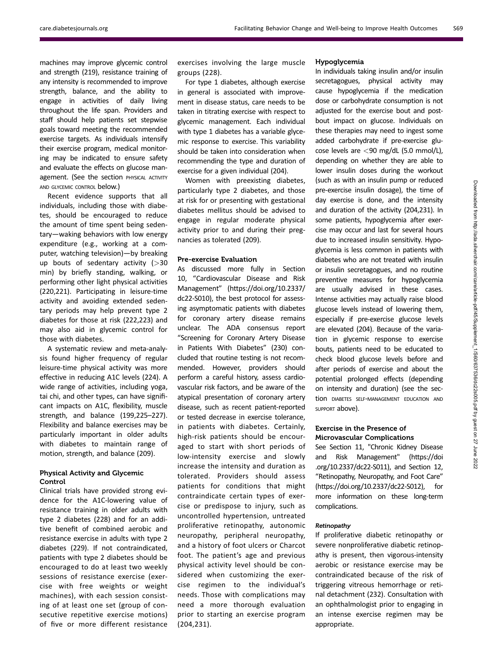machines may improve glycemic control and strength (219), resistance training of any intensity is recommended to improve strength, balance, and the ability to engage in activities of daily living throughout the life span. Providers and staff should help patients set stepwise goals toward meeting the recommended exercise targets. As individuals intensify their exercise program, medical monitoring may be indicated to ensure safety and evaluate the effects on glucose management. (See the section PHYSICAL ACTIVITY AND GLYCEMIC CONTROL below.)

Recent evidence supports that all individuals, including those with diabetes, should be encouraged to reduce the amount of time spent being sedentary—waking behaviors with low energy expenditure (e.g., working at a computer, watching television)—by breaking up bouts of sedentary activity  $(>30$ min) by briefly standing, walking, or performing other light physical activities (220,221). Participating in leisure-time activity and avoiding extended sedentary periods may help prevent type 2 diabetes for those at risk (222,223) and may also aid in glycemic control for those with diabetes.

A systematic review and meta-analysis found higher frequency of regular leisure-time physical activity was more effective in reducing A1C levels (224). A wide range of activities, including yoga, tai chi, and other types, can have significant impacts on A1C, flexibility, muscle strength, and balance (199,225–227). Flexibility and balance exercises may be particularly important in older adults with diabetes to maintain range of motion, strength, and balance (209).

# Physical Activity and Glycemic Control

Clinical trials have provided strong evidence for the A1C-lowering value of resistance training in older adults with type 2 diabetes (228) and for an additive benefit of combined aerobic and resistance exercise in adults with type 2 diabetes (229). If not contraindicated, patients with type 2 diabetes should be encouraged to do at least two weekly sessions of resistance exercise (exercise with free weights or weight machines), with each session consisting of at least one set (group of consecutive repetitive exercise motions) of five or more different resistance

exercises involving the large muscle groups (228).

For type 1 diabetes, although exercise in general is associated with improvement in disease status, care needs to be taken in titrating exercise with respect to glycemic management. Each individual with type 1 diabetes has a variable glycemic response to exercise. This variability should be taken into consideration when recommending the type and duration of exercise for a given individual (204).

Women with preexisting diabetes, particularly type 2 diabetes, and those at risk for or presenting with gestational diabetes mellitus should be advised to engage in regular moderate physical activity prior to and during their pregnancies as tolerated (209).

# Pre-exercise Evaluation

As discussed more fully in Section 10, "Cardiovascular Disease and Risk Management" [\(https://doi.org/10.2337/](https://doi.org/10.2337/dc22-S010) [dc22-S010](https://doi.org/10.2337/dc22-S010)), the best protocol for assessing asymptomatic patients with diabetes for coronary artery disease remains unclear. The ADA consensus report "Screening for Coronary Artery Disease in Patients With Diabetes" (230) concluded that routine testing is not recommended. However, providers should perform a careful history, assess cardiovascular risk factors, and be aware of the atypical presentation of coronary artery disease, such as recent patient-reported or tested decrease in exercise tolerance, in patients with diabetes. Certainly, high-risk patients should be encouraged to start with short periods of low-intensity exercise and slowly increase the intensity and duration as tolerated. Providers should assess patients for conditions that might contraindicate certain types of exercise or predispose to injury, such as uncontrolled hypertension, untreated proliferative retinopathy, autonomic neuropathy, peripheral neuropathy, and a history of foot ulcers or Charcot foot. The patient's age and previous physical activity level should be considered when customizing the exercise regimen to the individual's needs. Those with complications may need a more thorough evaluation prior to starting an exercise program (204,231).

## Hypoglycemia

In individuals taking insulin and/or insulin secretagogues, physical activity may cause hypoglycemia if the medication dose or carbohydrate consumption is not adjusted for the exercise bout and postbout impact on glucose. Individuals on these therapies may need to ingest some added carbohydrate if pre-exercise glucose levels are <90 mg/dL (5.0 mmol/L), depending on whether they are able to lower insulin doses during the workout (such as with an insulin pump or reduced pre-exercise insulin dosage), the time of day exercise is done, and the intensity and duration of the activity (204,231). In some patients, hypoglycemia after exercise may occur and last for several hours due to increased insulin sensitivity. Hypoglycemia is less common in patients with diabetes who are not treated with insulin or insulin secretagogues, and no routine preventive measures for hypoglycemia are usually advised in these cases. Intense activities may actually raise blood glucose levels instead of lowering them, especially if pre-exercise glucose levels are elevated (204). Because of the variation in glycemic response to exercise bouts, patients need to be educated to check blood glucose levels before and after periods of exercise and about the potential prolonged effects (depending on intensity and duration) (see the section DIABETES SELF-MANAGEMENT EDUCATION AND SUPPORT above).

# Exercise in the Presence of Microvascular Complications

See Section 11, "Chronic Kidney Disease and Risk Management" [\(https://doi](https://doi.org/10.2337/dc22-S011) [.org/10.2337/dc22-S011\)](https://doi.org/10.2337/dc22-S011), and Section 12, "Retinopathy, Neuropathy, and Foot Care" [\(https://doi.org/10.2337/dc22-S012](https://doi.org/10.2337/dc22-S012)), more information on these long-term complications.

#### **Retinopathy**

If proliferative diabetic retinopathy or severe nonproliferative diabetic retinopathy is present, then vigorous-intensity aerobic or resistance exercise may be contraindicated because of the risk of triggering vitreous hemorrhage or retinal detachment (232). Consultation with an ophthalmologist prior to engaging in an intense exercise regimen may be appropriate.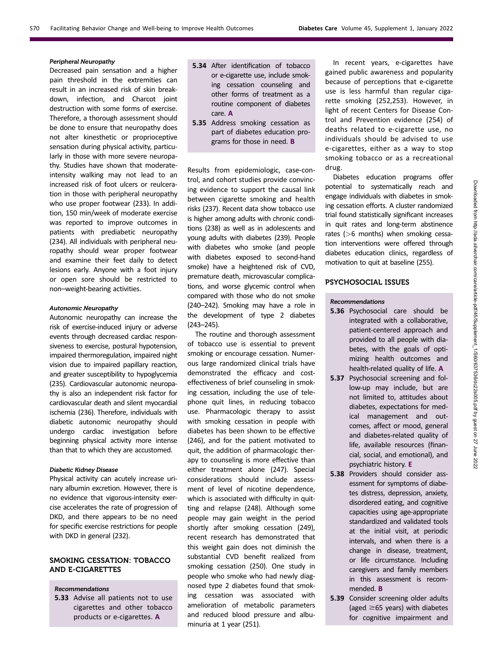# Peripheral Neuropathy

Decreased pain sensation and a higher pain threshold in the extremities can result in an increased risk of skin breakdown, infection, and Charcot joint destruction with some forms of exercise. Therefore, a thorough assessment should be done to ensure that neuropathy does not alter kinesthetic or proprioceptive sensation during physical activity, particularly in those with more severe neuropathy. Studies have shown that moderateintensity walking may not lead to an increased risk of foot ulcers or reulceration in those with peripheral neuropathy who use proper footwear (233). In addition, 150 min/week of moderate exercise was reported to improve outcomes in patients with prediabetic neuropathy (234). All individuals with peripheral neuropathy should wear proper footwear and examine their feet daily to detect lesions early. Anyone with a foot injury or open sore should be restricted to non–weight-bearing activities.

#### Autonomic Neuropathy

Autonomic neuropathy can increase the risk of exercise-induced injury or adverse events through decreased cardiac responsiveness to exercise, postural hypotension, impaired thermoregulation, impaired night vision due to impaired papillary reaction, and greater susceptibility to hypoglycemia (235). Cardiovascular autonomic neuropathy is also an independent risk factor for cardiovascular death and silent myocardial ischemia (236). Therefore, individuals with diabetic autonomic neuropathy should undergo cardiac investigation before beginning physical activity more intense than that to which they are accustomed.

## Diabetic Kidney Disease

Physical activity can acutely increase urinary albumin excretion. However, there is no evidence that vigorous-intensity exercise accelerates the rate of progression of DKD, and there appears to be no need for specific exercise restrictions for people with DKD in general (232).

# SMOKING CESSATION: TOBACCO AND E-CIGARETTES

#### Recommendations

5.33 Advise all patients not to use cigarettes and other tobacco products or e-cigarettes. A

- 5.34 After identification of tobacco or e-cigarette use, include smoking cessation counseling and other forms of treatment as a routine component of diabetes care. A
- 5.35 Address smoking cessation as part of diabetes education programs for those in need. B

Results from epidemiologic, case-control, and cohort studies provide convincing evidence to support the causal link between cigarette smoking and health risks (237). Recent data show tobacco use is higher among adults with chronic conditions (238) as well as in adolescents and young adults with diabetes (239). People with diabetes who smoke (and people with diabetes exposed to second-hand smoke) have a heightened risk of CVD, premature death, microvascular complications, and worse glycemic control when compared with those who do not smoke (240–242). Smoking may have a role in the development of type 2 diabetes (243–245).

The routine and thorough assessment of tobacco use is essential to prevent smoking or encourage cessation. Numerous large randomized clinical trials have demonstrated the efficacy and costeffectiveness of brief counseling in smoking cessation, including the use of telephone quit lines, in reducing tobacco use. Pharmacologic therapy to assist with smoking cessation in people with diabetes has been shown to be effective (246), and for the patient motivated to quit, the addition of pharmacologic therapy to counseling is more effective than either treatment alone (247). Special considerations should include assessment of level of nicotine dependence, which is associated with difficulty in quitting and relapse (248). Although some people may gain weight in the period shortly after smoking cessation (249), recent research has demonstrated that this weight gain does not diminish the substantial CVD benefit realized from smoking cessation (250). One study in people who smoke who had newly diagnosed type 2 diabetes found that smoking cessation was associated with amelioration of metabolic parameters and reduced blood pressure and albuminuria at 1 year (251).

In recent years, e-cigarettes have gained public awareness and popularity because of perceptions that e-cigarette use is less harmful than regular cigarette smoking (252,253). However, in light of recent Centers for Disease Control and Prevention evidence (254) of deaths related to e-cigarette use, no individuals should be advised to use e-cigarettes, either as a way to stop smoking tobacco or as a recreational drug.

Diabetes education programs offer potential to systematically reach and engage individuals with diabetes in smoking cessation efforts. A cluster randomized trial found statistically significant increases in quit rates and long-term abstinence rates (>6 months) when smoking cessation interventions were offered through diabetes education clinics, regardless of motivation to quit at baseline (255).

# PSYCHOSOCIAL ISSUES

#### Recommendations

- 5.36 Psychosocial care should be integrated with a collaborative, patient-centered approach and provided to all people with diabetes, with the goals of optimizing health outcomes and health-related quality of life. A
- 5.37 Psychosocial screening and follow-up may include, but are not limited to, attitudes about diabetes, expectations for medical management and outcomes, affect or mood, general and diabetes-related quality of life, available resources (financial, social, and emotional), and psychiatric history. E
- 5.38 Providers should consider assessment for symptoms of diabetes distress, depression, anxiety, disordered eating, and cognitive capacities using age-appropriate standardized and validated tools at the initial visit, at periodic intervals, and when there is a change in disease, treatment, or life circumstance. Including caregivers and family members in this assessment is recommended. B
- 5.39 Consider screening older adults (aged  $\geq$ 65 years) with diabetes for cognitive impairment and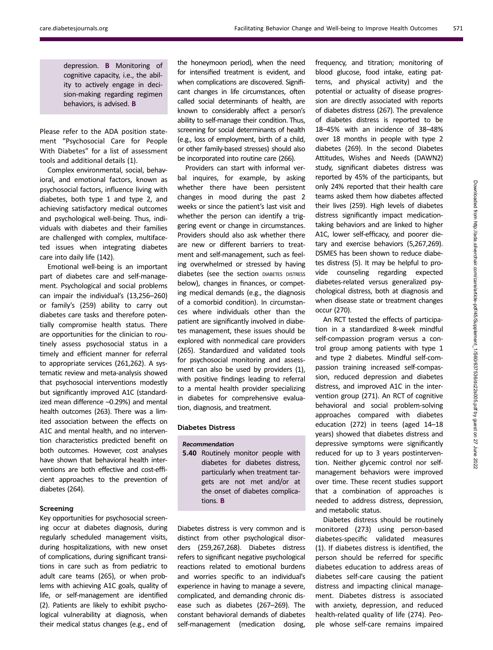depression. B Monitoring of cognitive capacity, i.e., the ability to actively engage in decision-making regarding regimen behaviors, is advised. B

Please refer to the ADA position statement "Psychosocial Care for People With Diabetes" for a list of assessment tools and additional details (1).

Complex environmental, social, behavioral, and emotional factors, known as psychosocial factors, influence living with diabetes, both type 1 and type 2, and achieving satisfactory medical outcomes and psychological well-being. Thus, individuals with diabetes and their families are challenged with complex, multifaceted issues when integrating diabetes care into daily life (142).

Emotional well-being is an important part of diabetes care and self-management. Psychological and social problems can impair the individual's (13,256–260) or family's (259) ability to carry out diabetes care tasks and therefore potentially compromise health status. There are opportunities for the clinician to routinely assess psychosocial status in a timely and efficient manner for referral to appropriate services (261,262). A systematic review and meta-analysis showed that psychosocial interventions modestly but significantly improved A1C (standardized mean difference –0.29%) and mental health outcomes (263). There was a limited association between the effects on A1C and mental health, and no intervention characteristics predicted benefit on both outcomes. However, cost analyses have shown that behavioral health interventions are both effective and cost-efficient approaches to the prevention of diabetes (264).

# Screening

Key opportunities for psychosocial screening occur at diabetes diagnosis, during regularly scheduled management visits, during hospitalizations, with new onset of complications, during significant transitions in care such as from pediatric to adult care teams (265), or when problems with achieving A1C goals, quality of life, or self-management are identified (2). Patients are likely to exhibit psychological vulnerability at diagnosis, when their medical status changes (e.g., end of the honeymoon period), when the need for intensified treatment is evident, and when complications are discovered. Significant changes in life circumstances, often called social determinants of health, are known to considerably affect a person's ability to self-manage their condition. Thus, screening for social determinants of health (e.g., loss of employment, birth of a child, or other family-based stresses) should also be incorporated into routine care (266).

Providers can start with informal verbal inquires, for example, by asking whether there have been persistent changes in mood during the past 2 weeks or since the patient's last visit and whether the person can identify a triggering event or change in circumstances. Providers should also ask whether there are new or different barriers to treatment and self-management, such as feeling overwhelmed or stressed by having diabetes (see the section DIABETES DISTRESS below), changes in finances, or competing medical demands (e.g., the diagnosis of a comorbid condition). In circumstances where individuals other than the patient are significantly involved in diabetes management, these issues should be explored with nonmedical care providers (265). Standardized and validated tools for psychosocial monitoring and assessment can also be used by providers (1), with positive findings leading to referral to a mental health provider specializing in diabetes for comprehensive evaluation, diagnosis, and treatment.

#### Diabetes Distress

- Recommendation
- 5.40 Routinely monitor people with diabetes for diabetes distress, particularly when treatment targets are not met and/or at the onset of diabetes complications. B

Diabetes distress is very common and is distinct from other psychological disorders (259,267,268). Diabetes distress refers to significant negative psychological reactions related to emotional burdens and worries specific to an individual's experience in having to manage a severe, complicated, and demanding chronic disease such as diabetes (267–269). The constant behavioral demands of diabetes self-management (medication dosing,

frequency, and titration; monitoring of blood glucose, food intake, eating patterns, and physical activity) and the potential or actuality of disease progression are directly associated with reports of diabetes distress (267). The prevalence of diabetes distress is reported to be 18–45% with an incidence of 38–48% over 18 months in people with type 2 diabetes (269). In the second Diabetes Attitudes, Wishes and Needs (DAWN2) study, significant diabetes distress was reported by 45% of the participants, but only 24% reported that their health care teams asked them how diabetes affected their lives (259). High levels of diabetes distress significantly impact medicationtaking behaviors and are linked to higher A1C, lower self-efficacy, and poorer dietary and exercise behaviors (5,267,269). DSMES has been shown to reduce diabetes distress (5). It may be helpful to provide counseling regarding expected diabetes-related versus generalized psychological distress, both at diagnosis and when disease state or treatment changes occur (270).

An RCT tested the effects of participation in a standardized 8-week mindful self-compassion program versus a control group among patients with type 1 and type 2 diabetes. Mindful self-compassion training increased self-compassion, reduced depression and diabetes distress, and improved A1C in the intervention group (271). An RCT of cognitive behavioral and social problem-solving approaches compared with diabetes education (272) in teens (aged 14–18 years) showed that diabetes distress and depressive symptoms were significantly reduced for up to 3 years postintervention. Neither glycemic control nor selfmanagement behaviors were improved over time. These recent studies support that a combination of approaches is needed to address distress, depression, and metabolic status.

Diabetes distress should be routinely monitored (273) using person-based diabetes-specific validated measures (1). If diabetes distress is identified, the person should be referred for specific diabetes education to address areas of diabetes self-care causing the patient distress and impacting clinical management. Diabetes distress is associated with anxiety, depression, and reduced health-related quality of life (274). People whose self-care remains impaired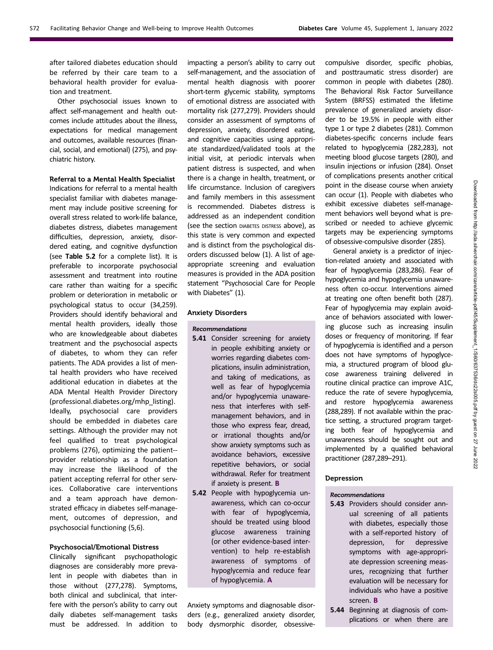after tailored diabetes education should be referred by their care team to a behavioral health provider for evaluation and treatment.

Other psychosocial issues known to affect self-management and health outcomes include attitudes about the illness, expectations for medical management and outcomes, available resources (financial, social, and emotional) (275), and psychiatric history.

#### Referral to a Mental Health Specialist

Indications for referral to a mental health specialist familiar with diabetes management may include positive screening for overall stress related to work-life balance, diabetes distress, diabetes management difficulties, depression, anxiety, disordered eating, and cognitive dysfunction (see Table 5.2 for a complete list). It is preferable to incorporate psychosocial assessment and treatment into routine care rather than waiting for a specific problem or deterioration in metabolic or psychological status to occur (34,259). Providers should identify behavioral and mental health providers, ideally those who are knowledgeable about diabetes treatment and the psychosocial aspects of diabetes, to whom they can refer patients. The ADA provides a list of mental health providers who have received additional education in diabetes at the ADA Mental Health Provider Directory ([professional.diabetes.org/mhp\\_listing](https://professional.diabetes.org/mhp_listing)). Ideally, psychosocial care providers should be embedded in diabetes care settings. Although the provider may not feel qualified to treat psychological problems (276), optimizing the patient- provider relationship as a foundation may increase the likelihood of the patient accepting referral for other services. Collaborative care interventions and a team approach have demonstrated efficacy in diabetes self-management, outcomes of depression, and psychosocial functioning (5,6).

#### Psychosocial/Emotional Distress

Clinically significant psychopathologic diagnoses are considerably more prevalent in people with diabetes than in those without (277,278). Symptoms, both clinical and subclinical, that interfere with the person's ability to carry out daily diabetes self-management tasks must be addressed. In addition to

impacting a person's ability to carry out self-management, and the association of mental health diagnosis with poorer short-term glycemic stability, symptoms of emotional distress are associated with mortality risk (277,279). Providers should consider an assessment of symptoms of depression, anxiety, disordered eating, and cognitive capacities using appropriate standardized/validated tools at the initial visit, at periodic intervals when patient distress is suspected, and when there is a change in health, treatment, or life circumstance. Inclusion of caregivers and family members in this assessment is recommended. Diabetes distress is addressed as an independent condition (see the section DIABETES DISTRESS above), as this state is very common and expected and is distinct from the psychological disorders discussed below (1). A list of ageappropriate screening and evaluation measures is provided in the ADA position statement "Psychosocial Care for People with Diabetes" (1).

# Anxiety Disorders

#### Recommendations

- 5.41 Consider screening for anxiety in people exhibiting anxiety or worries regarding diabetes complications, insulin administration, and taking of medications, as well as fear of hypoglycemia and/or hypoglycemia unawareness that interferes with selfmanagement behaviors, and in those who express fear, dread, or irrational thoughts and/or show anxiety symptoms such as avoidance behaviors, excessive repetitive behaviors, or social withdrawal. Refer for treatment if anxiety is present. B
- 5.42 People with hypoglycemia unawareness, which can co-occur with fear of hypoglycemia, should be treated using blood glucose awareness training (or other evidence-based intervention) to help re-establish awareness of symptoms of hypoglycemia and reduce fear of hypoglycemia. A

Anxiety symptoms and diagnosable disorders (e.g., generalized anxiety disorder, body dysmorphic disorder, obsessive-

compulsive disorder, specific phobias, and posttraumatic stress disorder) are common in people with diabetes (280). The Behavioral Risk Factor Surveillance System (BRFSS) estimated the lifetime prevalence of generalized anxiety disorder to be 19.5% in people with either type 1 or type 2 diabetes (281). Common diabetes-specific concerns include fears related to hypoglycemia (282,283), not meeting blood glucose targets (280), and insulin injections or infusion (284). Onset of complications presents another critical point in the disease course when anxiety can occur (1). People with diabetes who exhibit excessive diabetes self-management behaviors well beyond what is prescribed or needed to achieve glycemic targets may be experiencing symptoms of obsessive-compulsive disorder (285).

General anxiety is a predictor of injection-related anxiety and associated with fear of hypoglycemia (283,286). Fear of hypoglycemia and hypoglycemia unawareness often co-occur. Interventions aimed at treating one often benefit both (287). Fear of hypoglycemia may explain avoidance of behaviors associated with lowering glucose such as increasing insulin doses or frequency of monitoring. If fear of hypoglycemia is identified and a person does not have symptoms of hypoglycemia, a structured program of blood glucose awareness training delivered in routine clinical practice can improve A1C, reduce the rate of severe hypoglycemia, and restore hypoglycemia awareness (288,289). If not available within the practice setting, a structured program targeting both fear of hypoglycemia and unawareness should be sought out and implemented by a qualified behavioral practitioner (287,289–291).

#### Depression

#### Recommendations

- 5.43 Providers should consider annual screening of all patients with diabetes, especially those with a self-reported history of depression, for depressive symptoms with age-appropriate depression screening measures, recognizing that further evaluation will be necessary for individuals who have a positive screen. B
- 5.44 Beginning at diagnosis of complications or when there are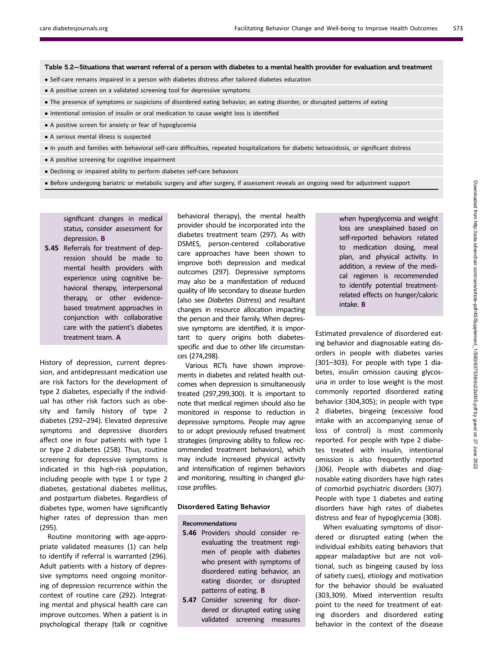Table 5.2—Situations that warrant referral of a person with diabetes to a mental health provider for evaluation and treatment

- Self-care remains impaired in a person with diabetes distress after tailored diabetes education
- A positive screen on a validated screening tool for depressive symptoms
- The presence of symptoms or suspicions of disordered eating behavior, an eating disorder, or disrupted patterns of eating
- Intentional omission of insulin or oral medication to cause weight loss is identified
- A positive screen for anxiety or fear of hypoglycemia
- A serious mental illness is suspected
- In youth and families with behavioral self-care difficulties, repeated hospitalizations for diabetic ketoacidosis, or significant distress
- A positive screening for cognitive impairment
- Declining or impaired ability to perform diabetes self-care behaviors
- . Before undergoing bariatric or metabolic surgery and after surgery, if assessment reveals an ongoing need for adjustment support

significant changes in medical status, consider assessment for depression. B

5.45 Referrals for treatment of depression should be made to mental health providers with experience using cognitive behavioral therapy, interpersonal therapy, or other evidencebased treatment approaches in conjunction with collaborative care with the patient's diabetes treatment team. A

History of depression, current depression, and antidepressant medication use are risk factors for the development of type 2 diabetes, especially if the individual has other risk factors such as obesity and family history of type 2 diabetes (292–294). Elevated depressive symptoms and depressive disorders affect one in four patients with type 1 or type 2 diabetes (258). Thus, routine screening for depressive symptoms is indicated in this high-risk population, including people with type 1 or type 2 diabetes, gestational diabetes mellitus, and postpartum diabetes. Regardless of diabetes type, women have significantly higher rates of depression than men (295).

Routine monitoring with age-appropriate validated measures (1) can help to identify if referral is warranted (296). Adult patients with a history of depressive symptoms need ongoing monitoring of depression recurrence within the context of routine care (292). Integrating mental and physical health care can improve outcomes. When a patient is in psychological therapy (talk or cognitive

behavioral therapy), the mental health provider should be incorporated into the diabetes treatment team (297). As with DSMES, person-centered collaborative care approaches have been shown to improve both depression and medical outcomes (297). Depressive symptoms may also be a manifestation of reduced quality of life secondary to disease burden (also see Diabetes Distress) and resultant changes in resource allocation impacting the person and their family. When depressive symptoms are identified, it is important to query origins both diabetesspecific and due to other life circumstances (274,298).

Various RCTs have shown improvements in diabetes and related health outcomes when depression is simultaneously treated (297,299,300). It is important to note that medical regimen should also be monitored in response to reduction in depressive symptoms. People may agree to or adopt previously refused treatment strategies (improving ability to follow recommended treatment behaviors), which may include increased physical activity and intensification of regimen behaviors and monitoring, resulting in changed glucose profiles.

#### Disordered Eating Behavior

#### Recommendations

- 5.46 Providers should consider reevaluating the treatment regimen of people with diabetes who present with symptoms of disordered eating behavior, an eating disorder, or disrupted patterns of eating. B
- 5.47 Consider screening for disordered or disrupted eating using validated screening measures

when hyperglycemia and weight loss are unexplained based on self-reported behaviors related to medication dosing, meal plan, and physical activity. In addition, a review of the medical regimen is recommended to identify potential treatmentrelated effects on hunger/caloric intake. B

Estimated prevalence of disordered eating behavior and diagnosable eating disorders in people with diabetes varies (301–303). For people with type 1 diabetes, insulin omission causing glycosuria in order to lose weight is the most commonly reported disordered eating behavior (304,305); in people with type 2 diabetes, bingeing (excessive food intake with an accompanying sense of loss of control) is most commonly reported. For people with type 2 diabetes treated with insulin, intentional omission is also frequently reported (306). People with diabetes and diagnosable eating disorders have high rates of comorbid psychiatric disorders (307). People with type 1 diabetes and eating disorders have high rates of diabetes distress and fear of hypoglycemia (308).

When evaluating symptoms of disordered or disrupted eating (when the individual exhibits eating behaviors that appear maladaptive but are not volitional, such as bingeing caused by loss of satiety cues), etiology and motivation for the behavior should be evaluated (303,309). Mixed intervention results point to the need for treatment of eating disorders and disordered eating behavior in the context of the disease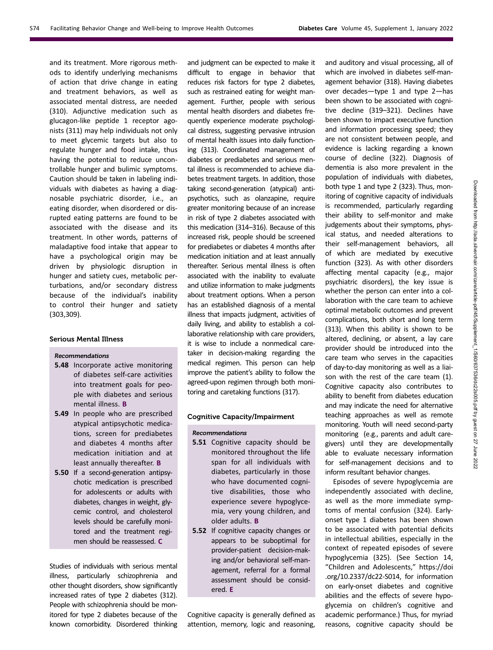and its treatment. More rigorous methods to identify underlying mechanisms of action that drive change in eating and treatment behaviors, as well as associated mental distress, are needed (310). Adjunctive medication such as glucagon-like peptide 1 receptor agonists (311) may help individuals not only to meet glycemic targets but also to regulate hunger and food intake, thus having the potential to reduce uncontrollable hunger and bulimic symptoms. Caution should be taken in labeling individuals with diabetes as having a diagnosable psychiatric disorder, i.e., an eating disorder, when disordered or disrupted eating patterns are found to be associated with the disease and its treatment. In other words, patterns of maladaptive food intake that appear to have a psychological origin may be driven by physiologic disruption in hunger and satiety cues, metabolic perturbations, and/or secondary distress because of the individual's inability to control their hunger and satiety (303,309).

#### Serious Mental Illness

## Recommendations

- 5.48 Incorporate active monitoring of diabetes self-care activities into treatment goals for people with diabetes and serious mental illness. B
- 5.49 In people who are prescribed atypical antipsychotic medications, screen for prediabetes and diabetes 4 months after medication initiation and at least annually thereafter. B
- 5.50 If a second-generation antipsychotic medication is prescribed for adolescents or adults with diabetes, changes in weight, glycemic control, and cholesterol levels should be carefully monitored and the treatment regimen should be reassessed. C

Studies of individuals with serious mental illness, particularly schizophrenia and other thought disorders, show significantly increased rates of type 2 diabetes (312). People with schizophrenia should be monitored for type 2 diabetes because of the known comorbidity. Disordered thinking and judgment can be expected to make it difficult to engage in behavior that reduces risk factors for type 2 diabetes, such as restrained eating for weight management. Further, people with serious mental health disorders and diabetes frequently experience moderate psychological distress, suggesting pervasive intrusion of mental health issues into daily functioning (313). Coordinated management of diabetes or prediabetes and serious mental illness is recommended to achieve diabetes treatment targets. In addition, those taking second-generation (atypical) antipsychotics, such as olanzapine, require greater monitoring because of an increase in risk of type 2 diabetes associated with this medication (314–316). Because of this increased risk, people should be screened for prediabetes or diabetes 4 months after medication initiation and at least annually thereafter. Serious mental illness is often associated with the inability to evaluate and utilize information to make judgments about treatment options. When a person has an established diagnosis of a mental illness that impacts judgment, activities of daily living, and ability to establish a collaborative relationship with care providers, it is wise to include a nonmedical caretaker in decision-making regarding the medical regimen. This person can help improve the patient's ability to follow the agreed-upon regimen through both monitoring and caretaking functions (317).

# Cognitive Capacity/Impairment

#### Recommendations

- 5.51 Cognitive capacity should be monitored throughout the life span for all individuals with diabetes, particularly in those who have documented cognitive disabilities, those who experience severe hypoglycemia, very young children, and older adults. B
- 5.52 If cognitive capacity changes or appears to be suboptimal for provider-patient decision-making and/or behavioral self-management, referral for a formal assessment should be considered. E

Cognitive capacity is generally defined as attention, memory, logic and reasoning, and auditory and visual processing, all of which are involved in diabetes self-management behavior (318). Having diabetes over decades—type 1 and type 2—has been shown to be associated with cognitive decline (319–321). Declines have been shown to impact executive function and information processing speed; they are not consistent between people, and evidence is lacking regarding a known course of decline (322). Diagnosis of dementia is also more prevalent in the population of individuals with diabetes, both type 1 and type 2 (323). Thus, monitoring of cognitive capacity of individuals is recommended, particularly regarding their ability to self-monitor and make judgements about their symptoms, physical status, and needed alterations to their self-management behaviors, all of which are mediated by executive function (323). As with other disorders affecting mental capacity (e.g., major psychiatric disorders), the key issue is whether the person can enter into a collaboration with the care team to achieve optimal metabolic outcomes and prevent complications, both short and long term (313). When this ability is shown to be altered, declining, or absent, a lay care provider should be introduced into the care team who serves in the capacities of day-to-day monitoring as well as a liaison with the rest of the care team (1). Cognitive capacity also contributes to ability to benefit from diabetes education and may indicate the need for alternative teaching approaches as well as remote monitoring. Youth will need second-party monitoring (e.g., parents and adult caregivers) until they are developmentally able to evaluate necessary information for self-management decisions and to inform resultant behavior changes.

Episodes of severe hypoglycemia are independently associated with decline, as well as the more immediate symptoms of mental confusion (324). Earlyonset type 1 diabetes has been shown to be associated with potential deficits in intellectual abilities, especially in the context of repeated episodes of severe hypoglycemia (325). (See Section 14, "Children and Adolescents," [https://doi](https://doi.org/10.2337/dc22-S014) [.org/10.2337/dc22-S014](https://doi.org/10.2337/dc22-S014), for information on early-onset diabetes and cognitive abilities and the effects of severe hypoglycemia on children's cognitive and academic performance.) Thus, for myriad reasons, cognitive capacity should be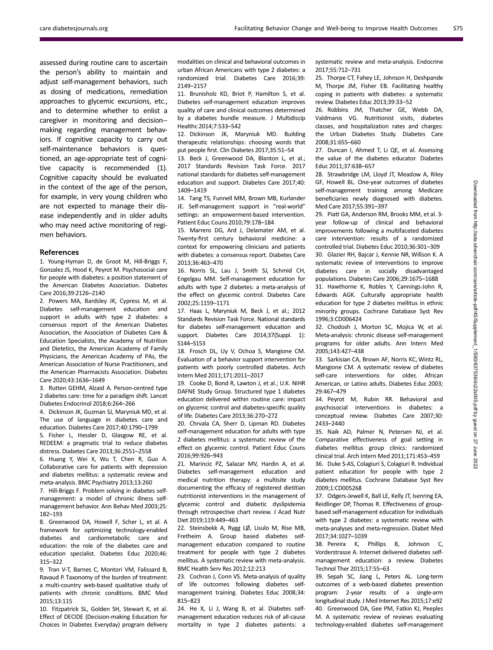assessed during routine care to ascertain the person's ability to maintain and adjust self-management behaviors, such as dosing of medications, remediation approaches to glycemic excursions, etc., and to determine whether to enlist a caregiver in monitoring and decision- making regarding management behaviors. If cognitive capacity to carry out self-maintenance behaviors is questioned, an age-appropriate test of cognitive capacity is recommended (1). Cognitive capacity should be evaluated in the context of the age of the person, for example, in very young children who are not expected to manage their disease independently and in older adults who may need active monitoring of regimen behaviors.

#### References

1. Young-Hyman D, de Groot M, Hill-Briggs F, Gonzalez JS, Hood K, Peyrot M. Psychosocial care for people with diabetes: a position statement of the American Diabetes Association. Diabetes Care 2016;39:2126–2140

2. Powers MA, Bardsley JK, Cypress M, et al. Diabetes self-management education and support in adults with type 2 diabetes: a consensus report of the American Diabetes Association, the Association of Diabetes Care & Education Specialists, the Academy of Nutrition and Dietetics, the American Academy of Family Physicians, the American Academy of PAs, the American Association of Nurse Practitioners, and the American Pharmacists Association. Diabetes Care 2020;43:1636–1649

3. Rutten GEHM, Alzaid A. Person-centred type 2 diabetes care: time for a paradigm shift. Lancet Diabetes Endocrinol 2018;6:264–266

4. Dickinson JK, Guzman SJ, Maryniuk MD, et al. The use of language in diabetes care and education. Diabetes Care 2017;40:1790–1799

5. Fisher L, Hessler D, Glasgow RE, et al. REDEEM: a pragmatic trial to reduce diabetes distress. Diabetes Care 2013;36:2551–2558

6. Huang Y, Wei X, Wu T, Chen R, Guo A. Collaborative care for patients with depression and diabetes mellitus: a systematic review and meta-analysis. BMC Psychiatry 2013;13:260

7. Hill-Briggs F. Problem solving in diabetes selfmanagement: a model of chronic illness selfmanagement behavior. Ann Behav Med 2003;25: 182–193

8. Greenwood DA, Howell F, Scher L, et al. A framework for optimizing technology-enabled diabetes and cardiometabolic care and education: the role of the diabetes care and education specialist. Diabetes Educ 2020;46: 315–322

9. Tran V-T, Barnes C, Montori VM, Falissard B, Ravaud P. Taxonomy of the burden of treatment: a multi-country web-based qualitative study of patients with chronic conditions. BMC Med 2015;13:115

10. Fitzpatrick SL, Golden SH, Stewart K, et al. Effect of DECIDE (Decision-making Education for Choices In Diabetes Everyday) program delivery modalities on clinical and behavioral outcomes in urban African Americans with type 2 diabetes: a randomized trial. Diabetes Care 2016;39: 2149–2157

11. Brunisholz KD, Briot P, Hamilton S, et al. Diabetes self-management education improves quality of care and clinical outcomes determined by a diabetes bundle measure. J Multidiscip Healthc 2014;7:533–542

12. Dickinson JK, Maryniuk MD. Building therapeutic relationships: choosing words that put people first. Clin Diabetes 2017;35:51–54

13. Beck J, Greenwood DA, Blanton L, et al.; 2017 Standards Revision Task Force. 2017 national standards for diabetes self-management education and support. Diabetes Care 2017;40: 1409–1419

14. Tang TS, Funnell MM, Brown MB, Kurlander JE. Self-management support in "real-world" settings: an empowerment-based intervention. Patient Educ Couns 2010;79:178–184

15. Marrero DG, Ard J, Delamater AM, et al. Twenty-first century behavioral medicine: a context for empowering clinicians and patients with diabetes: a consensus report. Diabetes Care 2013;36:463–470

16. Norris SL, Lau J, Smith SJ, Schmid CH, Engelgau MM. Self-management education for adults with type 2 diabetes: a meta-analysis of the effect on glycemic control. Diabetes Care 2002;25:1159–1171

17. Haas L, Maryniuk M, Beck J, et al.; 2012 Standards Revision Task Force. National standards for diabetes self-management education and support. Diabetes Care 2014;37(Suppl. 1): S144–S153

18. Frosch DL, Uy V, Ochoa S, Mangione CM. Evaluation of a behavior support intervention for patients with poorly controlled diabetes. Arch Intern Med 2011;171:2011–2017

19. Cooke D, Bond R, Lawton J, et al.; U.K. NIHR DAFNE Study Group. Structured type 1 diabetes education delivered within routine care: impact on glycemic control and diabetes-specific quality of life. Diabetes Care 2013;36:270–272

20. Chrvala CA, Sherr D, Lipman RD. Diabetes self-management education for adults with type 2 diabetes mellitus: a systematic review of the effect on glycemic control. Patient Educ Couns 2016;99:926–943

21. Marincic PZ, Salazar MV, Hardin A, et al. Diabetes self-management education and medical nutrition therapy: a multisite study documenting the efficacy of registered dietitian nutritionist interventions in the management of glycemic control and diabetic dyslipidemia through retrospective chart review. J Acad Nutr Diet 2019;119:449–463

22. Steinsbekk A, Rygg LØ, Lisulo M, Rise MB, Fretheim A. Group based diabetes selfmanagement education compared to routine treatment for people with type 2 diabetes mellitus. A systematic review with meta-analysis. BMC Health Serv Res 2012;12:213

23. Cochran J, Conn VS. Meta-analysis of quality of life outcomes following diabetes selfmanagement training. Diabetes Educ 2008;34: 815–823

24. He X, Li J, Wang B, et al. Diabetes selfmanagement education reduces risk of all-cause mortality in type 2 diabetes patients: a systematic review and meta-analysis. Endocrine 2017;55:712–731

25. Thorpe CT, Fahey LE, Johnson H, Deshpande M, Thorpe JM, Fisher EB. Facilitating healthy coping in patients with diabetes: a systematic review. Diabetes Educ 2013;39:33–52

26. Robbins JM, Thatcher GE, Webb DA, Valdmanis VG. Nutritionist visits, diabetes classes, and hospitalization rates and charges: the Urban Diabetes Study. Diabetes Care 2008;31:655–660

27. Duncan I, Ahmed T, Li QE, et al. Assessing the value of the diabetes educator. Diabetes Educ 2011;37:638–657

28. Strawbridge LM, Lloyd JT, Meadow A, Riley GF, Howell BL. One-year outcomes of diabetes self-management training among Medicare beneficiaries newly diagnosed with diabetes. Med Care 2017;55:391–397

29. Piatt GA, Anderson RM, Brooks MM, et al. 3 year follow-up of clinical and behavioral improvements following a multifaceted diabetes care intervention: results of a randomized controlled trial. Diabetes Educ 2010;36:301–309 30. Glazier RH, Bajcar J, Kennie NR, Willson K. A systematic review of interventions to improve diabetes care in socially disadvantaged populations. Diabetes Care 2006;29:1675–1688 31. Hawthorne K, Robles Y, Cannings-John R, Edwards AGK. Culturally appropriate health education for type 2 diabetes mellitus in ethnic minority groups. Cochrane Database Syst Rev 1996;3:CD006424

32. Chodosh J, Morton SC, Mojica W, et al. Meta-analysis: chronic disease self-management programs for older adults. Ann Intern Med 2005;143:427–438

33. Sarkisian CA, Brown AF, Norris KC, Wintz RL, Mangione CM. A systematic review of diabetes self-care interventions for older, African American, or Latino adults. Diabetes Educ 2003; 29:467–479

34. Peyrot M, Rubin RR. Behavioral and psychosocial interventions in diabetes: a conceptual review. Diabetes Care 2007;30: 2433–2440

35. Naik AD, Palmer N, Petersen NJ, et al. Comparative effectiveness of goal setting in diabetes mellitus group clinics: randomized clinical trial. Arch Intern Med 2011;171:453–459 36. Duke S-AS, Colagiuri S, Colagiuri R. Individual patient education for people with type 2 diabetes mellitus. Cochrane Database Syst Rev 2009;1:CD005268

37. Odgers-Jewell K, Ball LE, Kelly JT, Isenring EA, Reidlinger DP, Thomas R. Effectiveness of groupbased self-management education for individuals with type 2 diabetes: a systematic review with meta-analyses and meta-regression. Diabet Med 2017;34:1027–1039

38. Pereira K, Phillips B, Johnson C, Vorderstrasse A. Internet delivered diabetes selfmanagement education: a review. Diabetes Technol Ther 2015;17:55–63

39. Sepah SC, Jiang L, Peters AL. Long-term outcomes of a web-based diabetes prevention program: 2-year results of a single-arm longitudinal study. J Med Internet Res 2015;17:e92 40. Greenwood DA, Gee PM, Fatkin KJ, Peeples M. A systematic review of reviews evaluating technology-enabled diabetes self-management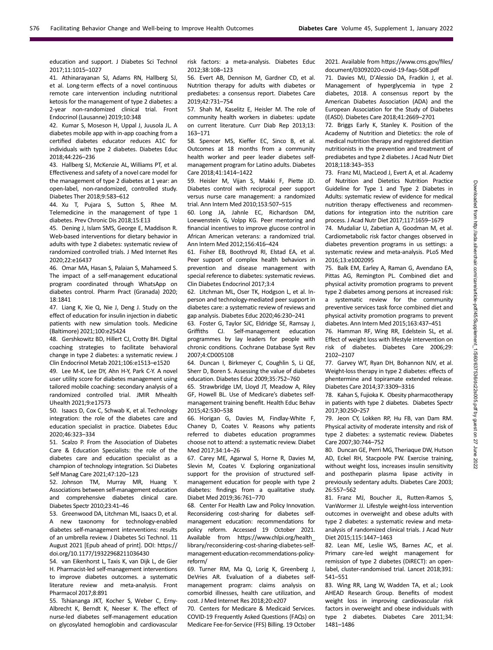education and support. J Diabetes Sci Technol 2017;11:1015–1027

41. Athinarayanan SJ, Adams RN, Hallberg SJ, et al. Long-term effects of a novel continuous remote care intervention including nutritional ketosis for the management of type 2 diabetes: a 2-year non-randomized clinical trial. Front Endocrinol (Lausanne) 2019;10:348

42. Kumar S, Moseson H, Uppal J, Juusola JL. A diabetes mobile app with in-app coaching from a certified diabetes educator reduces A1C for individuals with type 2 diabetes. Diabetes Educ 2018;44:226–236

43. Hallberg SJ, McKenzie AL, Williams PT, et al. Effectiveness and safety of a novel care model for the management of type 2 diabetes at 1 year: an open-label, non-randomized, controlled study. Diabetes Ther 2018;9:583–612

44. Xu T, Pujara S, Sutton S, Rhee M. Telemedicine in the management of type 1 diabetes. Prev Chronic Dis 2018;15:E13

45. Dening J, Islam SMS, George E, Maddison R. Web-based interventions for dietary behavior in adults with type 2 diabetes: systematic review of randomized controlled trials. J Med Internet Res 2020;22:e16437

46. Omar MA, Hasan S, Palaian S, Mahameed S. The impact of a self-management educational program coordinated through WhatsApp on diabetes control. Pharm Pract (Granada) 2020; 18:1841

47. Liang K, Xie Q, Nie J, Deng J. Study on the effect of education for insulin injection in diabetic patients with new simulation tools. Medicine (Baltimore) 2021;100:e25424

48. Gershkowitz BD, Hillert CJ, Crotty BH. Digital coaching strategies to facilitate behavioral change in type 2 diabetes: a systematic review. J Clin Endocrinol Metab 2021;106:e1513–e1520

49. Lee M-K, Lee DY, Ahn H-Y, Park C-Y. A novel user utility score for diabetes management using tailored mobile coaching: secondary analysis of a randomized controlled trial. JMIR Mhealth Uhealth 2021;9:e17573

50. Isaacs D, Cox C, Schwab K, et al. Technology integration: the role of the diabetes care and education specialist in practice. Diabetes Educ 2020;46:323–334

51. Scalzo P. From the Association of Diabetes Care & Education Specialists: the role of the diabetes care and education specialist as a champion of technology integration. Sci Diabetes Self Manag Care 2021;47:120–123

52. Johnson TM, Murray MR, Huang Y. Associations between self-management education and comprehensive diabetes clinical care. Diabetes Spectr 2010;23:41–46

53. Greenwood DA, Litchman ML, Isaacs D, et al. A new taxonomy for technology-enabled diabetes self-management interventions: results of an umbrella review. J Diabetes Sci Technol. 11 August 2021 [Epub ahead of print]. DOI: [https://](https://doi.org/10.1177/19322968211036430) [doi.org/10.1177/19322968211036430](https://doi.org/10.1177/19322968211036430)

54. van Eikenhorst L, Taxis K, van Dijk L, de Gier H. Pharmacist-led self-management interventions to improve diabetes outcomes. a systematic literature review and meta-analysis. Front Pharmacol 2017;8:891

55. Tshiananga JKT, Kocher S, Weber C, Erny-Albrecht K, Berndt K, Neeser K. The effect of nurse-led diabetes self-management education on glycosylated hemoglobin and cardiovascular

risk factors: a meta-analysis. Diabetes Educ 2012;38:108–123

56. Evert AB, Dennison M, Gardner CD, et al. Nutrition therapy for adults with diabetes or prediabetes: a consensus report. Diabetes Care 2019;42:731–754

57. Shah M, Kaselitz E, Heisler M. The role of community health workers in diabetes: update on current literature. Curr Diab Rep 2013;13: 163–171

58. Spencer MS, Kieffer EC, Sinco B, et al. Outcomes at 18 months from a community health worker and peer leader diabetes selfmanagement program for Latino adults. Diabetes Care 2018;41:1414–1422

59. Heisler M, Vijan S, Makki F, Piette JD. Diabetes control with reciprocal peer support versus nurse care management: a randomized trial. Ann Intern Med 2010;153:507–515

60. Long JA, Jahnle EC, Richardson DM, Loewenstein G, Volpp KG. Peer mentoring and financial incentives to improve glucose control in African American veterans: a randomized trial. Ann Intern Med 2012;156:416–424

61. Fisher EB, Boothroyd RI, Elstad EA, et al. Peer support of complex health behaviors in prevention and disease management with special reference to diabetes: systematic reviews. Clin Diabetes Endocrinol 2017;3:4

62. Litchman ML, Oser TK, Hodgson L, et al. Inperson and technology-mediated peer support in diabetes care: a systematic review of reviews and gap analysis. Diabetes Educ 2020;46:230–241

63. Foster G, Taylor SJC, Eldridge SE, Ramsay J, Griffiths CJ. Self-management education programmes by lay leaders for people with chronic conditions. Cochrane Database Syst Rev 2007;4:CD005108

64. Duncan I, Birkmeyer C, Coughlin S, Li QE, Sherr D, Boren S. Assessing the value of diabetes education. Diabetes Educ 2009;35:752–760

65. Strawbridge LM, Lloyd JT, Meadow A, Riley GF, Howell BL. Use of Medicare's diabetes selfmanagement training benefit. Health Educ Behav 2015;42:530–538

66. Horigan G, Davies M, Findlay-White F, Chaney D, Coates V. Reasons why patients referred to diabetes education programmes choose not to attend: a systematic review. Diabet Med 2017;34:14–26

67. Carey ME, Agarwal S, Horne R, Davies M, Slevin M, Coates V. Exploring organizational support for the provision of structured selfmanagement education for people with type 2 diabetes: findings from a qualitative study. Diabet Med 2019;36:761–770

68. Center For Health Law and Policy Innovation. Reconsidering cost-sharing for diabetes selfmanagement education: recommendations for policy reform. Accessed 19 October 2021. Available from [https://www.chlpi.org/health\\_](https://www.chlpi.org/health_library/reconsidering-cost-sharing-diabetes-self-management-education-recommendations-policy-reform/) [library/reconsidering-cost-sharing-diabetes-self](https://www.chlpi.org/health_library/reconsidering-cost-sharing-diabetes-self-management-education-recommendations-policy-reform/)[management-education-recommendations-policy](https://www.chlpi.org/health_library/reconsidering-cost-sharing-diabetes-self-management-education-recommendations-policy-reform/)[reform/](https://www.chlpi.org/health_library/reconsidering-cost-sharing-diabetes-self-management-education-recommendations-policy-reform/)

69. Turner RM, Ma Q, Lorig K, Greenberg J, DeVries AR. Evaluation of a diabetes selfmanagement program: claims analysis on comorbid illnesses, health care utilization, and cost. J Med Internet Res 2018;20:e207

70. Centers for Medicare & Medicaid Services. COVID-19 Frequently Asked Questions (FAQs) on Medicare Fee-for-Service (FFS) Billing. 19 October

#### 2021. Available from [https://www.cms.gov/](https://www.cms.gov/files/document/03092020-covid-19-faqs-508.pdf)files/ [document/03092020-covid-19-faqs-508.pdf](https://www.cms.gov/files/document/03092020-covid-19-faqs-508.pdf)

71. Davies MJ, D'Alessio DA, Fradkin J, et al. Management of hyperglycemia in type 2 diabetes, 2018. A consensus report by the American Diabetes Association (ADA) and the European Association for the Study of Diabetes (EASD). Diabetes Care 2018;41:2669–2701

72. Briggs Early K, Stanley K. Position of the Academy of Nutrition and Dietetics: the role of medical nutrition therapy and registered dietitian nutritionists in the prevention and treatment of prediabetes and type 2 diabetes. J Acad Nutr Diet 2018;118:343–353

73. Franz MJ, MacLeod J, Evert A, et al. Academy of Nutrition and Dietetics Nutrition Practice Guideline for Type 1 and Type 2 Diabetes in Adults: systematic review of evidence for medical nutrition therapy effectiveness and recommendations for integration into the nutrition care process. J Acad Nutr Diet 2017;117:1659–1679

74. Mudaliar U, Zabetian A, Goodman M, et al. Cardiometabolic risk factor changes observed in diabetes prevention programs in us settings: a systematic review and meta-analysis. PLoS Med 2016;13:e1002095

75. Balk EM, Earley A, Raman G, Avendano EA, Pittas AG, Remington PL. Combined diet and physical activity promotion programs to prevent type 2 diabetes among persons at increased risk:

a systematic review for the community preventive services task force combined diet and physical activity promotion programs to prevent diabetes. Ann Intern Med 2015;163:437–451

76. Hamman RF, Wing RR, Edelstein SL, et al. Effect of weight loss with lifestyle intervention on risk of diabetes. Diabetes Care 2006;29: 2102–2107

77. Garvey WT, Ryan DH, Bohannon NJV, et al. Weight-loss therapy in type 2 diabetes: effects of phentermine and topiramate extended release. Diabetes Care 2014;37:3309–3316

78. Kahan S, Fujioka K. Obesity pharmacotherapy in patients with type 2 diabetes. Diabetes Spectr 2017;30:250–257

79. Jeon CY, Lokken RP, Hu FB, van Dam RM. Physical activity of moderate intensity and risk of type 2 diabetes: a systematic review. Diabetes Care 2007;30:744–752

80. Duncan GE, Perri MG, Theriaque DW, Hutson AD, Eckel RH, Stacpoole PW. Exercise training, without weight loss, increases insulin sensitivity and postheparin plasma lipase activity in previously sedentary adults. Diabetes Care 2003; 26:557–562

81. Franz MJ, Boucher JL, Rutten-Ramos S, VanWormer JJ. Lifestyle weight-loss intervention outcomes in overweight and obese adults with type 2 diabetes: a systematic review and metaanalysis of randomized clinical trials. J Acad Nutr Diet 2015;115:1447–1463

82. Lean ME, Leslie WS, Barnes AC, et al. Primary care-led weight management for remission of type 2 diabetes (DiRECT): an openlabel, cluster-randomised trial. Lancet 2018;391: 541–551

83. Wing RR, Lang W, Wadden TA, et al.; Look AHEAD Research Group. Benefits of modest weight loss in improving cardiovascular risk factors in overweight and obese individuals with type 2 diabetes. Diabetes Care 2011;34: 1481–1486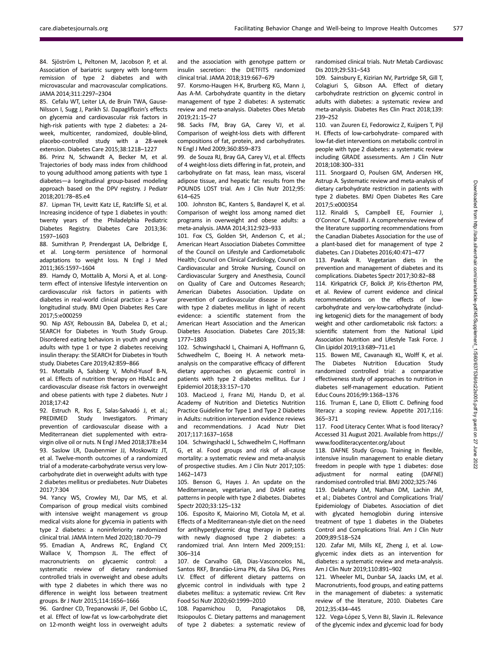84. Sjöström L, Peltonen M, Jacobson P, et al. Association of bariatric surgery with long-term remission of type 2 diabetes and with microvascular and macrovascular complications. JAMA 2014;311:2297–2304

85. Cefalu WT, Leiter LA, de Bruin TWA, Gause-Nilsson I, Sugg J, Parikh SJ. Dapagliflozin's effects on glycemia and cardiovascular risk factors in high-risk patients with type 2 diabetes: a 24 week, multicenter, randomized, double-blind, placebo-controlled study with a 28-week extension. Diabetes Care 2015;38:1218–1227

86. Prinz N, Schwandt A, Becker M, et al. Trajectories of body mass index from childhood to young adulthood among patients with type 1 diabetes—a longitudinal group-based modeling approach based on the DPV registry. J Pediatr 2018;201:78–85.e4

87. Lipman TH, Levitt Katz LE, Ratcliffe SJ, et al. Increasing incidence of type 1 diabetes in youth: twenty years of the Philadelphia Pediatric Diabetes Registry. Diabetes Care 2013;36: 1597–1603

88. Sumithran P, Prendergast LA, Delbridge E, et al. Long-term persistence of hormonal adaptations to weight loss. N Engl J Med 2011;365:1597–1604

89. Hamdy O, Mottalib A, Morsi A, et al. Longterm effect of intensive lifestyle intervention on cardiovascular risk factors in patients with diabetes in real-world clinical practice: a 5-year longitudinal study. BMJ Open Diabetes Res Care 2017;5:e000259

90. Nip ASY, Reboussin BA, Dabelea D, et al.; SEARCH for Diabetes in Youth Study Group. Disordered eating behaviors in youth and young adults with type 1 or type 2 diabetes receiving insulin therapy: the SEARCH for Diabetes in Youth study. Diabetes Care 2019;42:859–866

91. Mottalib A, Salsberg V, Mohd-Yusof B-N, et al. Effects of nutrition therapy on HbA1c and cardiovascular disease risk factors in overweight and obese patients with type 2 diabetes. Nutr J 2018;17:42

92. Estruch R, Ros E, Salas-Salvadó J, et al.; PREDIMED Study Investigators. Primary prevention of cardiovascular disease with a Mediterranean diet supplemented with extravirgin olive oil or nuts. N Engl J Med 2018;378:e34 93. Saslow LR, Daubenmier JJ, Moskowitz JT, et al. Twelve-month outcomes of a randomized trial of a moderate-carbohydrate versus very lowcarbohydrate diet in overweight adults with type 2 diabetes mellitus or prediabetes. Nutr Diabetes 2017;7:304

94. Yancy WS, Crowley MJ, Dar MS, et al. Comparison of group medical visits combined with intensive weight management vs group medical visits alone for glycemia in patients with type 2 diabetes: a noninferiority randomized clinical trial. JAMA Intern Med 2020;180:70–79

95. Emadian A, Andrews RC, England CY, Wallace V, Thompson JL. The effect of macronutrients on glycaemic control: a systematic review of dietary randomised controlled trials in overweight and obese adults with type 2 diabetes in which there was no difference in weight loss between treatment groups. Br J Nutr 2015;114:1656–1666

96. Gardner CD, Trepanowski JF, Del Gobbo LC, et al. Effect of low-fat vs low-carbohydrate diet on 12-month weight loss in overweight adults and the association with genotype pattern or insulin secretion: the DIETFITS randomized clinical trial. JAMA 2018;319:667–679

97. Korsmo-Haugen H-K, Brurberg KG, Mann J, Aas A-M. Carbohydrate quantity in the dietary management of type 2 diabetes: A systematic review and meta-analysis. Diabetes Obes Metab 2019;21:15–27

98. Sacks FM, Bray GA, Carey VJ, et al. Comparison of weight-loss diets with different compositions of fat, protein, and carbohydrates. N Engl J Med 2009;360:859–873

99. de Souza RJ, Bray GA, Carey VJ, et al. Effects of 4 weight-loss diets differing in fat, protein, and carbohydrate on fat mass, lean mass, visceral adipose tissue, and hepatic fat: results from the POUNDS LOST trial. Am J Clin Nutr 2012;95: 614–625

100. Johnston BC, Kanters S, Bandayrel K, et al. Comparison of weight loss among named diet programs in overweight and obese adults: a meta-analysis. JAMA 2014;312:923–933

101. Fox CS, Golden SH, Anderson C, et al.; American Heart Association Diabetes Committee of the Council on Lifestyle and Cardiometabolic Health; Council on Clinical Cardiology, Council on Cardiovascular and Stroke Nursing, Council on Cardiovascular Surgery and Anesthesia, Council on Quality of Care and Outcomes Research; American Diabetes Association. Update on prevention of cardiovascular disease in adults with type 2 diabetes mellitus in light of recent evidence: a scientific statement from the American Heart Association and the American Diabetes Association. Diabetes Care 2015;38: 1777–1803

102. Schwingshackl L, Chaimani A, Hoffmann G, Schwedhelm C, Boeing H. A network metaanalysis on the comparative efficacy of different dietary approaches on glycaemic control in patients with type 2 diabetes mellitus. Eur J Epidemiol 2018;33:157–170

103. MacLeod J, Franz MJ, Handu D, et al. Academy of Nutrition and Dietetics Nutrition Practice Guideline for Type 1 and Type 2 Diabetes in Adults: nutrition intervention evidence reviews and recommendations. J Acad Nutr Diet 2017;117:1637–1658

104. Schwingshackl L, Schwedhelm C, Hoffmann G, et al. Food groups and risk of all-cause mortality: a systematic review and meta-analysis of prospective studies. Am J Clin Nutr 2017;105: 1462–1473

105. Benson G, Hayes J. An update on the Mediterranean, vegetarian, and DASH eating patterns in people with type 2 diabetes. Diabetes Spectr 2020;33:125–132

106. Esposito K, Maiorino MI, Ciotola M, et al. Effects of a Mediterranean-style diet on the need for antihyperglycemic drug therapy in patients with newly diagnosed type 2 diabetes: a randomized trial. Ann Intern Med 2009;151: 306–314

107. de Carvalho GB, Dias-Vasconcelos NL, Santos RKF, Brandão-Lima PN, da Silva DG, Pires LV. Effect of different dietary patterns on glycemic control in individuals with type 2 diabetes mellitus: a systematic review. Crit Rev Food Sci Nutr 2020;60:1999–2010

108. Papamichou D, Panagiotakos DB, Itsiopoulos C. Dietary patterns and management of type 2 diabetes: a systematic review of randomised clinical trials. Nutr Metab Cardiovasc Dis 2019;29:531–543

109. Sainsbury E, Kizirian NV, Partridge SR, Gill T, Colagiuri S, Gibson AA. Effect of dietary carbohydrate restriction on glycemic control in adults with diabetes: a systematic review and meta-analysis. Diabetes Res Clin Pract 2018;139: 239–252

110. van Zuuren EJ, Fedorowicz Z, Kuijpers T, Pijl H. Effects of low-carbohydrate- compared with low-fat-diet interventions on metabolic control in people with type 2 diabetes: a systematic review including GRADE assessments. Am J Clin Nutr 2018;108:300–331

111. Snorgaard O, Poulsen GM, Andersen HK, Astrup A. Systematic review and meta-analysis of dietary carbohydrate restriction in patients with type 2 diabetes. BMJ Open Diabetes Res Care 2017;5:e000354

112. Rinaldi S, Campbell EE, Fournier J, O'Connor C, Madill J. A comprehensive review of the literature supporting recommendations from the Canadian Diabetes Association for the use of a plant-based diet for management of type 2 diabetes. Can J Diabetes 2016;40:471–477

113. Pawlak R. Vegetarian diets in the prevention and management of diabetes and its complications. Diabetes Spectr 2017;30:82–88

114. Kirkpatrick CF, Bolick JP, Kris-Etherton PM, et al. Review of current evidence and clinical recommendations on the effects of lowcarbohydrate and very-low-carbohydrate (including ketogenic) diets for the management of body weight and other cardiometabolic risk factors: a scientific statement from the National Lipid Association Nutrition and Lifestyle Task Force. J Clin Lipidol 2019;13:689–711.e1

115. Bowen ME, Cavanaugh KL, Wolff K, et al. The Diabetes Nutrition Education Study randomized controlled trial: a comparative effectiveness study of approaches to nutrition in diabetes self-management education. Patient Educ Couns 2016;99:1368–1376

116. Truman E, Lane D, Elliott C. Defining food literacy: a scoping review. Appetite 2017;116: 365–371

117. Food Literacy Center. What is food literacy? Accessed 31 August 2021. Available from [https://](https://www.foodliteracycenter.org/about) [www.foodliteracycenter.org/about](https://www.foodliteracycenter.org/about)

118. DAFNE Study Group. Training in flexible, intensive insulin management to enable dietary freedom in people with type 1 diabetes: dose adjustment for normal eating (DAFNE) randomised controlled trial. BMJ 2002;325:746

119. Delahanty LM, Nathan DM, Lachin JM, et al.; Diabetes Control and Complications Trial/ Epidemiology of Diabetes. Association of diet with glycated hemoglobin during intensive treatment of type 1 diabetes in the Diabetes Control and Complications Trial. Am J Clin Nutr 2009;89:518–524

120. Zafar MI, Mills KE, Zheng J, et al. Lowglycemic index diets as an intervention for diabetes: a systematic review and meta-analysis. Am J Clin Nutr 2019;110:891–902

121. Wheeler ML, Dunbar SA, Jaacks LM, et al. Macronutrients, food groups, and eating patterns in the management of diabetes: a systematic review of the literature, 2010. Diabetes Care 2012;35:434–445

122. Vega-López S, Venn BJ, Slavin JL. Relevance of the glycemic index and glycemic load for body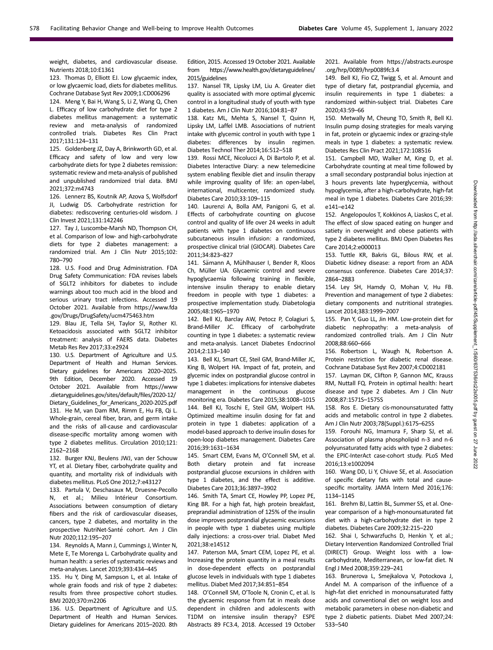weight, diabetes, and cardiovascular disease. Nutrients 2018;10:E1361

123. Thomas D, Elliott EJ. Low glycaemic index, or low glycaemic load, diets for diabetes mellitus. Cochrane Database Syst Rev 2009;1:CD006296

124. Meng Y, Bai H, Wang S, Li Z, Wang Q, Chen L. Efficacy of low carbohydrate diet for type 2 diabetes mellitus management: a systematic review and meta-analysis of randomized controlled trials. Diabetes Res Clin Pract 2017;131:124–131

125. Goldenberg JZ, Day A, Brinkworth GD, et al. Efficacy and safety of low and very low carbohydrate diets for type 2 diabetes remission: systematic review and meta-analysis of published and unpublished randomized trial data. BMJ 2021;372:m4743

126. Lennerz BS, Koutnik AP, Azova S, Wolfsdorf JI, Ludwig DS. Carbohydrate restriction for diabetes: rediscovering centuries-old wisdom. J Clin Invest 2021;131:142246

127. Tay J, Luscombe-Marsh ND, Thompson CH, et al. Comparison of low- and high-carbohydrate diets for type 2 diabetes management: a randomized trial. Am J Clin Nutr 2015;102: 780–790

128. U.S. Food and Drug Administration. FDA Drug Safety Communication: FDA revises labels of SGLT2 inhibitors for diabetes to include warnings about too much acid in the blood and serious urinary tract infections. Accessed 19 October 2021. Available from [https://www.fda](https://www.fda.gov/Drugs/DrugSafety/ucm475463.htm) [.gov/Drugs/DrugSafety/ucm475463.htm](https://www.fda.gov/Drugs/DrugSafety/ucm475463.htm)

129. Blau JE, Tella SH, Taylor SI, Rother KI. Ketoacidosis associated with SGLT2 inhibitor treatment: analysis of FAERS data. Diabetes Metab Res Rev 2017;33:e2924

130. U.S. Department of Agriculture and U.S. Department of Health and Human Services. Dietary guidelines for Americans 2020–2025. 9th Edition, December 2020. Accessed 19 October 2021. Available from [https://www](https://www.dietaryguidelines.gov/sites/default/files/2020-12/Dietary_Guidelines_for_Americans_2020-2025.pdf) [.dietaryguidelines.gov/sites/default/](https://www.dietaryguidelines.gov/sites/default/files/2020-12/Dietary_Guidelines_for_Americans_2020-2025.pdf)files/2020-12/ [Dietary\\_Guidelines\\_for\\_Americans\\_2020-2025.pdf](https://www.dietaryguidelines.gov/sites/default/files/2020-12/Dietary_Guidelines_for_Americans_2020-2025.pdf) 131. He M, van Dam RM, Rimm E, Hu FB, Qi L. Whole-grain, cereal fiber, bran, and germ intake and the risks of all-cause and cardiovascular disease-specific mortality among women with type 2 diabetes mellitus. Circulation 2010;121: 2162–2168

132. Burger KNJ, Beulens JWJ, van der Schouw YT, et al. Dietary fiber, carbohydrate quality and quantity, and mortality risk of individuals with diabetes mellitus. PLoS One 2012;7:e43127

133. Partula V, Deschasaux M, Druesne-Pecollo N, et al.; Milieu Intérieur Consortium. Associations between consumption of dietary fibers and the risk of cardiovascular diseases, cancers, type 2 diabetes, and mortality in the prospective NutriNet-Santé cohort. Am J Clin Nutr 2020;112:195–207

134. Reynolds A, Mann J, Cummings J, Winter N, Mete E, Te Morenga L. Carbohydrate quality and human health: a series of systematic reviews and meta-analyses. Lancet 2019;393:434–445

135. Hu Y, Ding M, Sampson L, et al. Intake of whole grain foods and risk of type 2 diabetes: results from three prospective cohort studies. BMJ 2020;370:m2206

136. U.S. Department of Agriculture and U.S. Department of Health and Human Services. Dietary guidelines for Americans 2015–2020. 8th Edition, 2015. Accessed 19 October 2021. Available from [https://www.health.gov/dietaryguidelines/](https://www.health.gov/dietaryguidelines/2015/guidelines) [2015/guidelines](https://www.health.gov/dietaryguidelines/2015/guidelines)

137. Nansel TR, Lipsky LM, Liu A. Greater diet quality is associated with more optimal glycemic control in a longitudinal study of youth with type 1 diabetes. Am J Clin Nutr 2016;104:81–87

138. Katz ML, Mehta S, Nansel T, Quinn H, Lipsky LM, Laffel LMB. Associations of nutrient intake with glycemic control in youth with type 1 diabetes: differences by insulin regimen. Diabetes Technol Ther 2014;16:512–518

139. Rossi MCE, Nicolucci A, Di Bartolo P, et al. Diabetes Interactive Diary: a new telemedicine system enabling flexible diet and insulin therapy while improving quality of life: an open-label, international, multicenter, randomized study. Diabetes Care 2010;33:109–115

140. Laurenzi A, Bolla AM, Panigoni G, et al. Effects of carbohydrate counting on glucose control and quality of life over 24 weeks in adult patients with type 1 diabetes on continuous subcutaneous insulin infusion: a randomized, prospective clinical trial (GIOCAR). Diabetes Care 2011;34:823–827

141. Sämann A, Mühlhauser I, Bender R, Kloos Ch, Müller UA. Glycaemic control and severe hypoglycaemia following training in flexible, intensive insulin therapy to enable dietary freedom in people with type 1 diabetes: a prospective implementation study. Diabetologia 2005;48:1965–1970

142. Bell KJ, Barclay AW, Petocz P, Colagiuri S, Brand-Miller JC. Efficacy of carbohydrate counting in type 1 diabetes: a systematic review and meta-analysis. Lancet Diabetes Endocrinol 2014;2:133–140

143. Bell KJ, Smart CE, Steil GM, Brand-Miller JC, King B, Wolpert HA. Impact of fat, protein, and glycemic index on postprandial glucose control in type 1 diabetes: implications for intensive diabetes management in the continuous glucose monitoring era. Diabetes Care 2015;38:1008–1015 144. Bell KJ, Toschi E, Steil GM, Wolpert HA. Optimized mealtime insulin dosing for fat and protein in type 1 diabetes: application of a model-based approach to derive insulin doses for open-loop diabetes management. Diabetes Care 2016;39:1631–1634

145. Smart CEM, Evans M, O'Connell SM, et al. Both dietary protein and fat increase postprandial glucose excursions in children with type 1 diabetes, and the effect is additive. Diabetes Care 2013;36:3897–3902

146. Smith TA, Smart CE, Howley PP, Lopez PE, King BR. For a high fat, high protein breakfast, preprandial administration of 125% of the insulin dose improves postprandial glycaemic excursions in people with type 1 diabetes using multiple daily injections: a cross-over trial. Diabet Med 2021;38:e14512

147. Paterson MA, Smart CEM, Lopez PE, et al. Increasing the protein quantity in a meal results in dose-dependent effects on postprandial glucose levels in individuals with type 1 diabetes mellitus. Diabet Med 2017;34:851–854

148. O'Connell SM, O'Toole N, Cronin C, et al. Is the glycaemic response from fat in meals dose dependent in children and adolescents with T1DM on intensive insulin therapy? ESPE Abstracts 89 FC3.4, 2018. Accessed 19 October

2021. Available from [https://abstracts.eurospe](https://abstracts.eurospe.org/hrp/0089/hrp0089fc3.4) [.org/hrp/0089/hrp0089fc3.4](https://abstracts.eurospe.org/hrp/0089/hrp0089fc3.4)

149. Bell KJ, Fio CZ, Twigg S, et al. Amount and type of dietary fat, postprandial glycemia, and insulin requirements in type 1 diabetes: a randomized within-subject trial. Diabetes Care 2020;43:59–66

150. Metwally M, Cheung TO, Smith R, Bell KJ. Insulin pump dosing strategies for meals varying in fat, protein or glycaemic index or grazing-style meals in type 1 diabetes: a systematic review. Diabetes Res Clin Pract 2021;172:108516

151. Campbell MD, Walker M, King D, et al. Carbohydrate counting at meal time followed by a small secondary postprandial bolus injection at 3 hours prevents late hyperglycemia, without hypoglycemia, after a high-carbohydrate, high-fat meal in type 1 diabetes. Diabetes Care 2016;39: e141–e142

152. Angelopoulos T, Kokkinos A, Liaskos C, et al. The effect of slow spaced eating on hunger and satiety in overweight and obese patients with type 2 diabetes mellitus. BMJ Open Diabetes Res Care 2014;2:e000013

153. Tuttle KR, Bakris GL, Bilous RW, et al. Diabetic kidney disease: a report from an ADA consensus conference. Diabetes Care 2014;37: 2864–2883

154. Ley SH, Hamdy O, Mohan V, Hu FB. Prevention and management of type 2 diabetes: dietary components and nutritional strategies. Lancet 2014;383:1999–2007

155. Pan Y, Guo LL, Jin HM. Low-protein diet for diabetic nephropathy: a meta-analysis of randomized controlled trials. Am J Clin Nutr 2008;88:660–666

156. Robertson L, Waugh N, Robertson A. Protein restriction for diabetic renal disease. Cochrane Database Syst Rev 2007;4:CD002181

157. Layman DK, Clifton P, Gannon MC, Krauss RM, Nuttall FQ. Protein in optimal health: heart disease and type 2 diabetes. Am J Clin Nutr 2008;87:1571S–1575S

158. Ros E. Dietary cis-monounsaturated fatty acids and metabolic control in type 2 diabetes. Am J Clin Nutr 2003;78(Suppl.):617S–625S

159. Forouhi NG, Imamura F, Sharp SJ, et al. Association of plasma phospholipid n-3 and n-6 polyunsaturated fatty acids with type 2 diabetes: the EPIC-InterAct case-cohort study. PLoS Med 2016;13:e1002094

160. Wang DD, Li Y, Chiuve SE, et al. Association of specific dietary fats with total and causespecific mortality. JAMA Intern Med 2016;176: 1134–1145

161. Brehm BJ, Lattin BL, Summer SS, et al. Oneyear comparison of a high-monounsaturated fat diet with a high-carbohydrate diet in type 2 diabetes. Diabetes Care 2009;32:215–220

162. Shai I, Schwarzfuchs D, Henkin Y, et al.; Dietary Intervention Randomized Controlled Trial (DIRECT) Group. Weight loss with a lowcarbohydrate, Mediterranean, or low-fat diet. N Engl J Med 2008;359:229–241

163. Brunerova L, Smejkalova V, Potockova J, Andel M. A comparison of the influence of a high-fat diet enriched in monounsaturated fatty acids and conventional diet on weight loss and metabolic parameters in obese non-diabetic and type 2 diabetic patients. Diabet Med 2007;24: 533–540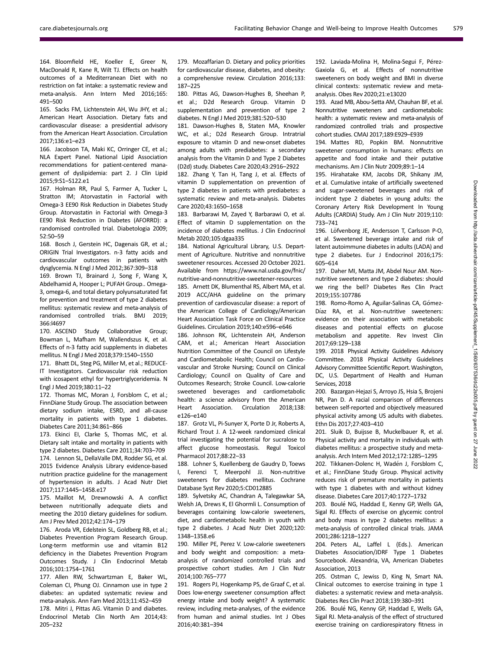164. Bloomfield HE, Koeller E, Greer N, MacDonald R, Kane R, Wilt TJ. Effects on health outcomes of a Mediterranean Diet with no restriction on fat intake: a systematic review and meta-analysis. Ann Intern Med 2016;165: 491–500

165. Sacks FM, Lichtenstein AH, Wu JHY, et al.; American Heart Association. Dietary fats and cardiovascular disease: a presidential advisory from the American Heart Association. Circulation 2017;136:e1–e23

166. Jacobson TA, Maki KC, Orringer CE, et al.; NLA Expert Panel. National Lipid Association recommendations for patient-centered management of dyslipidemia: part 2. J Clin Lipid 2015;9:S1–S122.e1

167. Holman RR, Paul S, Farmer A, Tucker L, Stratton IM; Atorvastatin in Factorial with Omega-3 EE90 Risk Reduction in Diabetes Study Group. Atorvastatin in Factorial with Omega-3 EE90 Risk Reduction in Diabetes (AFORRD): a randomised controlled trial. Diabetologia 2009; 52:50–59

168. Bosch J, Gerstein HC, Dagenais GR, et al.; ORIGIN Trial Investigators. n-3 fatty acids and cardiovascular outcomes in patients with dysglycemia. N Engl J Med 2012;367:309–318

169. Brown TJ, Brainard J, Song F, Wang X, Abdelhamid A, Hooper L; PUFAH Group.. Omega-3, omega-6, and total dietary polyunsaturated fat for prevention and treatment of type 2 diabetes mellitus: systematic review and meta-analysis of randomised controlled trials. BMJ 2019; 366:l4697

170. ASCEND Study Collaborative Group; Bowman L, Mafham M, Wallendszus K, et al. Effects of n-3 fatty acid supplements in diabetes mellitus. N Engl J Med 2018;379:1540–1550

171. Bhatt DL, Steg PG, Miller M, et al.; REDUCE-IT Investigators. Cardiovascular risk reduction with icosapent ethyl for hypertriglyceridemia. N Engl J Med 2019;380:11–22

172. Thomas MC, Moran J, Forsblom C, et al.; FinnDiane Study Group. The association between dietary sodium intake, ESRD, and all-cause mortality in patients with type 1 diabetes. Diabetes Care 2011;34:861–866

173. Ekinci EI, Clarke S, Thomas MC, et al. Dietary salt intake and mortality in patients with type 2 diabetes. Diabetes Care 2011;34:703–709 174. Lennon SL, DellaValle DM, Rodder SG, et al. 2015 Evidence Analysis Library evidence-based nutrition practice guideline for the management of hypertension in adults. J Acad Nutr Diet 2017;117:1445–1458.e17

175. Maillot M, Drewnowski A. A conflict between nutritionally adequate diets and meeting the 2010 dietary guidelines for sodium. Am J Prev Med 2012;42:174–179

176. Aroda VR, Edelstein SL, Goldberg RB, et al.; Diabetes Prevention Program Research Group. Long-term metformin use and vitamin B12 deficiency in the Diabetes Prevention Program Outcomes Study. J Clin Endocrinol Metab 2016;101:1754–1761

177. Allen RW, Schwartzman E, Baker WL, Coleman CI, Phung OJ. Cinnamon use in type 2 diabetes: an updated systematic review and meta-analysis. Ann Fam Med 2013;11:452–459

178. Mitri J, Pittas AG. Vitamin D and diabetes. Endocrinol Metab Clin North Am 2014;43: 205–232

179. Mozaffarian D. Dietary and policy priorities for cardiovascular disease, diabetes, and obesity: a comprehensive review. Circulation 2016;133: 187–225

180. Pittas AG, Dawson-Hughes B, Sheehan P, et al.; D2d Research Group. Vitamin D supplementation and prevention of type 2 diabetes. N Engl J Med 2019;381:520–530

181. Dawson-Hughes B, Staten MA, Knowler WC, et al.; D2d Research Group. Intratrial exposure to vitamin D and new-onset diabetes among adults with prediabetes: a secondary analysis from the Vitamin D and Type 2 Diabetes (D2d) study. Diabetes Care 2020;43:2916–2922

182. Zhang Y, Tan H, Tang J, et al. Effects of vitamin D supplementation on prevention of type 2 diabetes in patients with prediabetes: a systematic review and meta-analysis. Diabetes Care 2020;43:1650–1658

183. Barbarawi M, Zayed Y, Barbarawi O, et al. Effect of vitamin D supplementation on the incidence of diabetes mellitus. J Clin Endocrinol Metab 2020;105:dgaa335

184. National Agricultural Library, U.S. Department of Agriculture. Nutritive and nonnutritive sweetener resources. Accessed 20 October 2021. Available from [https://www.nal.usda.gov/fnic/](https://www.nal.usda.gov/fnic/nutritive-and-nonnutritive-sweetener-resources) [nutritive-and-nonnutritive-sweetener-resources](https://www.nal.usda.gov/fnic/nutritive-and-nonnutritive-sweetener-resources) 185. Arnett DK, Blumenthal RS, Albert MA, et al. 2019 ACC/AHA guideline on the primary prevention of cardiovascular disease: a report of the American College of Cardiology/American Heart Association Task Force on Clinical Practice Guidelines. Circulation 2019;140:e596–e646

186. Johnson RK, Lichtenstein AH, Anderson CAM, et al.; American Heart Association Nutrition Committee of the Council on Lifestyle and Cardiometabolic Health; Council on Cardiovascular and Stroke Nursing; Council on Clinical Cardiology; Council on Quality of Care and Outcomes Research; Stroke Council. Low-calorie sweetened beverages and cardiometabolic health: a science advisory from the American Heart Association. Circulation 2018;138: e126–e140

187. Grotz VL, Pi-Sunyer X, Porte D Jr, Roberts A, Richard Trout J. A 12-week randomized clinical trial investigating the potential for sucralose to affect glucose homeostasis. Regul Toxicol Pharmacol 2017;88:22–33

188. Lohner S, Kuellenberg de Gaudry D, Toews I, Ferenci T, Meerpohl JJ. Non-nutritive sweeteners for diabetes mellitus. Cochrane Database Syst Rev 2020;5:CD012885

189. Sylvetsky AC, Chandran A, Talegawkar SA, Welsh JA, Drews K, El Ghormli L. Consumption of beverages containing low-calorie sweeteners, diet, and cardiometabolic health in youth with type 2 diabetes. J Acad Nutr Diet 2020;120: 1348–1358.e6

190. Miller PE, Perez V. Low-calorie sweeteners and body weight and composition: a metaanalysis of randomized controlled trials and prospective cohort studies. Am J Clin Nutr 2014;100:765–777

191. Rogers PJ, Hogenkamp PS, de Graaf C, et al. Does low-energy sweetener consumption affect energy intake and body weight? A systematic review, including meta-analyses, of the evidence from human and animal studies. Int J Obes 2016;40:381–394

192. Laviada-Molina H, Molina-Segui F, Pérez-Gaxiola G, et al. Effects of nonnutritive sweeteners on body weight and BMI in diverse clinical contexts: systematic review and metaanalysis. Obes Rev 2020;21:e13020

193. Azad MB, Abou-Setta AM, Chauhan BF, et al. Nonnutritive sweeteners and cardiometabolic health: a systematic review and meta-analysis of randomized controlled trials and prospective cohort studies. CMAJ 2017;189:E929–E939

194. Mattes RD, Popkin BM. Nonnutritive sweetener consumption in humans: effects on appetite and food intake and their putative mechanisms. Am J Clin Nutr 2009;89:1–14

195. Hirahatake KM, Jacobs DR, Shikany JM, et al. Cumulative intake of artificially sweetened and sugar-sweetened beverages and risk of incident type 2 diabetes in young adults: the Coronary Artery Risk Development In Young Adults (CARDIA) Study. Am J Clin Nutr 2019;110: 733–741

196. Löfvenborg JE, Andersson T, Carlsson P-O, et al. Sweetened beverage intake and risk of latent autoimmune diabetes in adults (LADA) and type 2 diabetes. Eur J Endocrinol 2016;175: 605–614

197. Daher MI, Matta JM, Abdel Nour AM. Nonnutritive sweeteners and type 2 diabetes: should we ring the bell? Diabetes Res Clin Pract 2019;155:107786

198. Romo-Romo A, Aguilar-Salinas CA, Gómez-Díaz RA, et al. Non-nutritive sweeteners: evidence on their association with metabolic diseases and potential effects on glucose metabolism and appetite. Rev Invest Clin 2017;69:129–138

199. 2018 Physical Activity Guidelines Advisory Committee. 2018 Physical Activity Guidelines Advisory Committee Scientific Report.Washington, DC, U.S. Department of Health and Human Services, 2018

200. Bazargan-Hejazi S, Arroyo JS, Hsia S, Brojeni NR, Pan D. A racial comparison of differences between self-reported and objectively measured physical activity among US adults with diabetes. Ethn Dis 2017;27:403–410

201. Sluik D, Buijsse B, Muckelbauer R, et al. Physical activity and mortality in individuals with diabetes mellitus: a prospective study and metaanalysis. Arch Intern Med 2012;172:1285–1295

202. Tikkanen-Dolenc H, Wadén J, Forsblom C, et al.; FinnDiane Study Group. Physical activity reduces risk of premature mortality in patients with type 1 diabetes with and without kidney disease. Diabetes Care 2017;40:1727–1732

203. Boulé NG, Haddad E, Kenny GP, Wells GA, Sigal RJ. Effects of exercise on glycemic control and body mass in type 2 diabetes mellitus: a meta-analysis of controlled clinical trials. JAMA 2001;286:1218–1227

204. Peters AL, Laffel L (Eds.). American Diabetes Association/JDRF Type 1 Diabetes Sourcebook. Alexandria, VA, American Diabetes Association, 2013

205. Ostman C, Jewiss D, King N, Smart NA. Clinical outcomes to exercise training in type 1 diabetes: a systematic review and meta-analysis. Diabetes Res Clin Pract 2018;139:380–391

206. Boulé NG, Kenny GP, Haddad E, Wells GA, Sigal RJ. Meta-analysis of the effect of structured exercise training on cardiorespiratory fitness in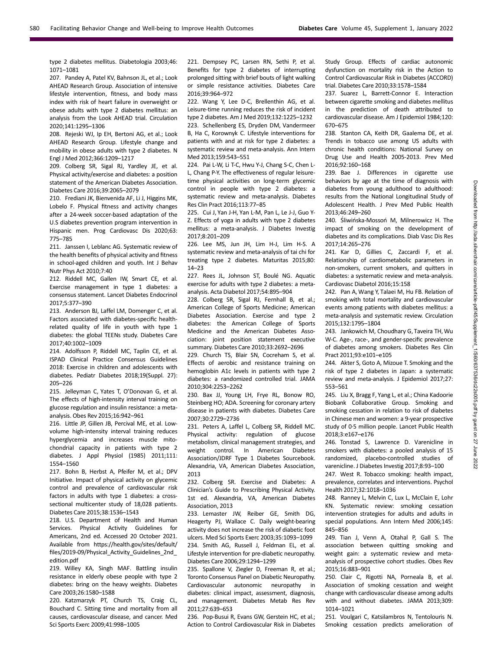type 2 diabetes mellitus. Diabetologia 2003;46: 1071–1081

207. Pandey A, Patel KV, Bahnson JL, et al.; Look AHEAD Research Group. Association of intensive lifestyle intervention, fitness, and body mass index with risk of heart failure in overweight or obese adults with type 2 diabetes mellitus: an analysis from the Look AHEAD trial. Circulation 2020;141:1295–1306

208. Rejeski WJ, Ip EH, Bertoni AG, et al.; Look AHEAD Research Group. Lifestyle change and mobility in obese adults with type 2 diabetes. N Engl J Med 2012;366:1209–1217

209. Colberg SR, Sigal RJ, Yardley JE, et al. Physical activity/exercise and diabetes: a position statement of the American Diabetes Association. Diabetes Care 2016;39:2065–2079

210. Frediani JK, Bienvenida AF, Li J, Higgins MK, Lobelo F. Physical fitness and activity changes after a 24-week soccer-based adaptation of the U.S diabetes prevention program intervention in Hispanic men. Prog Cardiovasc Dis 2020;63: 775–785

211. Janssen I, Leblanc AG. Systematic review of the health benefits of physical activity and fitness in school-aged children and youth. Int J Behav Nutr Phys Act 2010;7:40

212. Riddell MC, Gallen IW, Smart CE, et al. Exercise management in type 1 diabetes: a consensus statement. Lancet Diabetes Endocrinol 2017;5:377–390

213. Anderson BJ, Laffel LM, Domenger C, et al. Factors associated with diabetes-specific healthrelated quality of life in youth with type 1 diabetes: the global TEENs study. Diabetes Care 2017;40:1002–1009

214. Adolfsson P, Riddell MC, Taplin CE, et al. ISPAD Clinical Practice Consensus Guidelines 2018: Exercise in children and adolescents with diabetes. Pediatr Diabetes 2018;19(Suppl. 27): 205–226

215. Jelleyman C, Yates T, O'Donovan G, et al. The effects of high-intensity interval training on glucose regulation and insulin resistance: a metaanalysis. Obes Rev 2015;16:942–961

216. Little JP, Gillen JB, Percival ME, et al. Lowvolume high-intensity interval training reduces hyperglycemia and increases muscle mitochondrial capacity in patients with type 2 diabetes. J Appl Physiol (1985) 2011;111: 1554–1560

217. Bohn B, Herbst A, Pfeifer M, et al.; DPV Initiative. Impact of physical activity on glycemic control and prevalence of cardiovascular risk factors in adults with type 1 diabetes: a crosssectional multicenter study of 18,028 patients. Diabetes Care 2015;38:1536–1543

218. U.S. Department of Health and Human Services. Physical Activity Guidelines for Americans, 2nd ed. Accessed 20 October 2021. Available from [https://health.gov/sites/default/](https://health.gov/sites/default/files/2019-09/Physical_Activity_Guidelines_2nd_edition.pdf) fi[les/2019-09/Physical\\_Activity\\_Guidelines\\_2nd\\_](https://health.gov/sites/default/files/2019-09/Physical_Activity_Guidelines_2nd_edition.pdf) [edition.pdf](https://health.gov/sites/default/files/2019-09/Physical_Activity_Guidelines_2nd_edition.pdf)

219. Willey KA, Singh MAF. Battling insulin resistance in elderly obese people with type 2 diabetes: bring on the heavy weights. Diabetes Care 2003;26:1580–1588

220. Katzmarzyk PT, Church TS, Craig CL, Bouchard C. Sitting time and mortality from all causes, cardiovascular disease, and cancer. Med Sci Sports Exerc 2009;41:998–1005

221. Dempsey PC, Larsen RN, Sethi P, et al. Benefits for type 2 diabetes of interrupting prolonged sitting with brief bouts of light walking or simple resistance activities. Diabetes Care 2016;39:964–972

222. Wang Y, Lee D-C, Brellenthin AG, et al. Leisure-time running reduces the risk of incident type 2 diabetes. Am J Med 2019;132:1225–1232

223. Schellenberg ES, Dryden DM, Vandermeer B, Ha C, Korownyk C. Lifestyle interventions for patients with and at risk for type 2 diabetes: a systematic review and meta-analysis. Ann Intern Med 2013;159:543–551

224. Pai L-W, Li T-C, Hwu Y-J, Chang S-C, Chen L-L, Chang P-Y. The effectiveness of regular leisuretime physical activities on long-term glycemic control in people with type 2 diabetes: a systematic review and meta-analysis. Diabetes Res Clin Pract 2016;113:77–85

225. Cui J, Yan J-H, Yan L-M, Pan L, Le J-J, Guo Y-Z. Effects of yoga in adults with type 2 diabetes mellitus: a meta-analysis. J Diabetes Investig 2017;8:201–209

226. Lee MS, Jun JH, Lim H-J, Lim H-S. A systematic review and meta-analysis of tai chi for treating type 2 diabetes. Maturitas 2015;80: 14–23

227. Rees JL, Johnson ST, Boulé NG. Aquatic exercise for adults with type 2 diabetes: a metaanalysis. Acta Diabetol 2017;54:895–904

228. Colberg SR, Sigal RJ, Fernhall B, et al.; American College of Sports Medicine; American Diabetes Association. Exercise and type 2 diabetes: the American College of Sports Medicine and the American Diabetes Association: joint position statement executive summary. Diabetes Care 2010;33:2692–2696

229. Church TS, Blair SN, Cocreham S, et al. Effects of aerobic and resistance training on hemoglobin A1c levels in patients with type 2 diabetes: a randomized controlled trial. JAMA 2010;304:2253–2262

230. Bax JJ, Young LH, Frye RL, Bonow RO, Steinberg HO; ADA. Screening for coronary artery disease in patients with diabetes. Diabetes Care 2007;30:2729–2736

231. Peters A, Laffel L, Colberg SR, Riddell MC. Physical activity: regulation of glucose metabolism, clinical management strategies, and weight control. In American Diabetes Association/JDRF Type 1 Diabetes Sourcebook. Alexandria, VA, American Diabetes Association, 2013

232. Colberg SR. Exercise and Diabetes: A Clinician's Guide to Prescribing Physical Activity. 1st ed. Alexandria, VA, American Diabetes Association, 2013

233. Lemaster JW, Reiber GE, Smith DG, Heagerty PJ, Wallace C. Daily weight-bearing activity does not increase the risk of diabetic foot ulcers. Med Sci Sports Exerc 2003;35:1093–1099 234. Smith AG, Russell J, Feldman EL, et al. Lifestyle intervention for pre-diabetic neuropathy. Diabetes Care 2006;29:1294–1299

235. Spallone V, Ziegler D, Freeman R, et al.; Toronto Consensus Panel on Diabetic Neuropathy. Cardiovascular autonomic neuropathy in diabetes: clinical impact, assessment, diagnosis, and management. Diabetes Metab Res Rev 2011;27:639–653

236. Pop-Busui R, Evans GW, Gerstein HC, et al.; Action to Control Cardiovascular Risk in Diabetes

Study Group. Effects of cardiac autonomic dysfunction on mortality risk in the Action to Control Cardiovascular Risk in Diabetes (ACCORD) trial. Diabetes Care 2010;33:1578–1584

237. Suarez L, Barrett-Connor E. Interaction between cigarette smoking and diabetes mellitus in the prediction of death attributed to cardiovascular disease. Am J Epidemiol 1984;120: 670–675

238. Stanton CA, Keith DR, Gaalema DE, et al. Trends in tobacco use among US adults with chronic health conditions: National Survey on Drug Use and Health 2005-2013. Prev Med 2016;92:160–168

239. Bae J. Differences in cigarette use behaviors by age at the time of diagnosis with diabetes from young adulthood to adulthood: results from the National Longitudinal Study of Adolescent Health. J Prev Med Public Health 2013;46:249–260

240. Śliwińska-Mossoń M, Milnerowicz H. The impact of smoking on the development of diabetes and its complications. Diab Vasc Dis Res 2017;14:265–276

241. Kar D, Gillies C, Zaccardi F, et al. Relationship of cardiometabolic parameters in non-smokers, current smokers, and quitters in diabetes: a systematic review and meta-analysis. Cardiovasc Diabetol 2016;15:158

242. Pan A, Wang Y, Talaei M, Hu FB. Relation of smoking with total mortality and cardiovascular events among patients with diabetes mellitus: a meta-analysis and systematic review. Circulation 2015;132:1795–1804

243. Jankowich M, Choudhary G, Taveira TH, Wu W-C. Age-, race-, and gender-specific prevalence of diabetes among smokers. Diabetes Res Clin Pract 2011;93:e101–e105

244. Akter S, Goto A, Mizoue T. Smoking and the risk of type 2 diabetes in Japan: a systematic review and meta-analysis. J Epidemiol 2017;27: 553–561

245. Liu X, Bragg F, Yang L, et al.; China Kadoorie Biobank Collaborative Group. Smoking and smoking cessation in relation to risk of diabetes in Chinese men and women: a 9-year prospective study of 0·5 million people. Lancet Public Health 2018;3:e167–e176

246. Tonstad S, Lawrence D. Varenicline in smokers with diabetes: a pooled analysis of 15 randomized, placebo-controlled studies of varenicline. J Diabetes Investig 2017;8:93–100

247. West R. Tobacco smoking: health impact, prevalence, correlates and interventions. Psychol Health 2017;32:1018–1036

248. Ranney L, Melvin C, Lux L, McClain E, Lohr KN. Systematic review: smoking cessation intervention strategies for adults and adults in special populations. Ann Intern Med 2006;145: 845–856

249. Tian J, Venn A, Otahal P, Gall S. The association between quitting smoking and weight gain: a systematic review and metaanalysis of prospective cohort studies. Obes Rev 2015;16:883–901

250. Clair C, Rigotti NA, Porneala B, et al. Association of smoking cessation and weight change with cardiovascular disease among adults with and without diabetes. JAMA 2013;309: 1014–1021

251. Voulgari C, Katsilambros N, Tentolouris N. Smoking cessation predicts amelioration of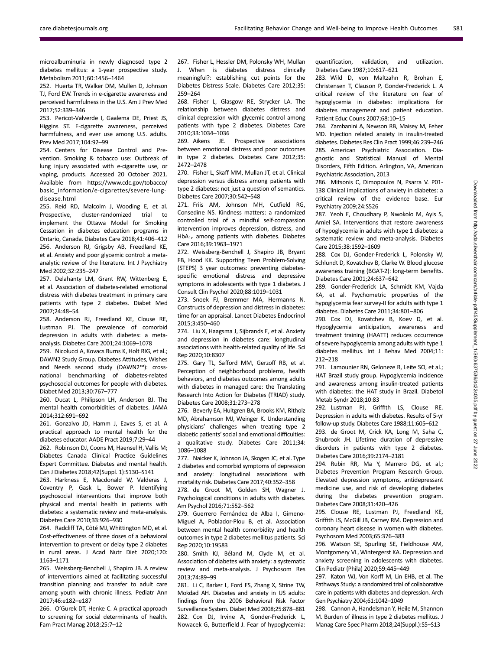microalbuminuria in newly diagnosed type 2 diabetes mellitus: a 1-year prospective study. Metabolism 2011;60:1456–1464

252. Huerta TR, Walker DM, Mullen D, Johnson TJ, Ford EW. Trends in e-cigarette awareness and perceived harmfulness in the U.S. Am J Prev Med 2017;52:339–346

253. Pericot-Valverde I, Gaalema DE, Priest JS, Higgins ST. E-cigarette awareness, perceived harmfulness, and ever use among U.S. adults. Prev Med 2017;104:92–99

254. Centers for Disease Control and Prevention. Smoking & tobacco use: Outbreak of lung injury associated with e-cigarette use, or vaping, products. Accessed 20 October 2021. Available from [https://www.cdc.gov/tobacco/](https://www.cdc.gov/tobacco/basic_information/e-cigarettes/severe-lung-disease.html) [basic\\_information/e-cigarettes/severe-lung](https://www.cdc.gov/tobacco/basic_information/e-cigarettes/severe-lung-disease.html)[disease.html](https://www.cdc.gov/tobacco/basic_information/e-cigarettes/severe-lung-disease.html)

255. Reid RD, Malcolm J, Wooding E, et al. Prospective, cluster-randomized trial to implement the Ottawa Model for Smoking Cessation in diabetes education programs in Ontario, Canada. Diabetes Care 2018;41:406–412 256. Anderson RJ, Grigsby AB, Freedland KE, et al. Anxiety and poor glycemic control: a metaanalytic review of the literature. Int J Psychiatry Med 2002;32:235–247

257. Delahanty LM, Grant RW, Wittenberg E, et al. Association of diabetes-related emotional distress with diabetes treatment in primary care patients with type 2 diabetes. Diabet Med 2007;24:48–54

258. Anderson RJ, Freedland KE, Clouse RE, Lustman PJ. The prevalence of comorbid depression in adults with diabetes: a metaanalysis. Diabetes Care 2001;24:1069–1078

259. Nicolucci A, Kovacs Burns K, Holt RIG, et al.; DAWN2 Study Group. Diabetes Attitudes, Wishes and Needs second study (DAWN2™): crossnational benchmarking of diabetes-related psychosocial outcomes for people with diabetes. Diabet Med 2013;30:767–777

260. Ducat L, Philipson LH, Anderson BJ. The mental health comorbidities of diabetes. JAMA 2014;312:691–692

261. Gonzalvo JD, Hamm J, Eaves S, et al. A practical approach to mental health for the diabetes educator. AADE Pract 2019;7:29–44

262. Robinson DJ, Coons M, Haensel H, Vallis M; Diabetes Canada Clinical Practice Guidelines Expert Committee. Diabetes and mental health. Can J Diabetes 2018;42(Suppl. 1):S130–S141

263. Harkness E, Macdonald W, Valderas J, Coventry P, Gask L, Bower P. Identifying psychosocial interventions that improve both physical and mental health in patients with diabetes: a systematic review and meta-analysis. Diabetes Care 2010;33:926–930

264. Radcliff TA, Côté MJ, Whittington MD, et al. Cost-effectiveness of three doses of a behavioral intervention to prevent or delay type 2 diabetes in rural areas. J Acad Nutr Diet 2020;120: 1163–1171

265. Weissberg-Benchell J, Shapiro JB. A review of interventions aimed at facilitating successful transition planning and transfer to adult care among youth with chronic illness. Pediatr Ann 2017;46:e182–e187

266. O'Gurek DT, Henke C. A practical approach to screening for social determinants of health. Fam Pract Manag 2018;25:7–12

267. Fisher L, Hessler DM, Polonsky WH, Mullan J. When is diabetes distress clinically meaningful?: establishing cut points for the Diabetes Distress Scale. Diabetes Care 2012;35: 259–264

268. Fisher L, Glasgow RE, Strycker LA. The relationship between diabetes distress and clinical depression with glycemic control among patients with type 2 diabetes. Diabetes Care 2010;33:1034–1036

269. Aikens JE. Prospective associations between emotional distress and poor outcomes in type 2 diabetes. Diabetes Care 2012;35: 2472–2478

270. Fisher L, Skaff MM, Mullan JT, et al. Clinical depression versus distress among patients with type 2 diabetes: not just a question of semantics. Diabetes Care 2007;30:542–548

271. Friis AM, Johnson MH, Cutfield RG, Consedine NS. Kindness matters: a randomized controlled trial of a mindful self-compassion intervention improves depression, distress, and  $HbA<sub>1c</sub>$  among patients with diabetes. Diabetes Care 2016;39:1963–1971

272. Weissberg-Benchell J, Shapiro JB, Bryant FB, Hood KK. Supporting Teen Problem-Solving (STEPS) 3 year outcomes: preventing diabetesspecific emotional distress and depressive symptoms in adolescents with type 1 diabetes. J Consult Clin Psychol 2020;88:1019–1031

273. Snoek FJ, Bremmer MA, Hermanns N. Constructs of depression and distress in diabetes: time for an appraisal. Lancet Diabetes Endocrinol 2015;3:450–460

274. Liu X, Haagsma J, Sijbrands E, et al. Anxiety and depression in diabetes care: longitudinal associations with health-related quality of life. Sci Rep 2020;10:8307

275. Gary TL, Safford MM, Gerzoff RB, et al. Perception of neighborhood problems, health behaviors, and diabetes outcomes among adults with diabetes in managed care: the Translating Research Into Action for Diabetes (TRIAD) study. Diabetes Care 2008;31:273–278

276. Beverly EA, Hultgren BA, Brooks KM, Ritholz MD, Abrahamson MJ, Weinger K. Understanding physicians' challenges when treating type 2 diabetic patients'social and emotional difficulties: a qualitative study. Diabetes Care 2011;34: 1086–1088

277. Naicker K, Johnson JA, Skogen JC, et al. Type 2 diabetes and comorbid symptoms of depression and anxiety: longitudinal associations with mortality risk. Diabetes Care 2017;40:352–358

278. de Groot M, Golden SH, Wagner J. Psychological conditions in adults with diabetes. Am Psychol 2016;71:552–562

279. Guerrero Fernández de Alba I, Gimeno-Miguel A, Poblador-Plou B, et al. Association between mental health comorbidity and health outcomes in type 2 diabetes mellitus patients. Sci Rep 2020;10:19583

280. Smith KJ, Béland M, Clyde M, et al. Association of diabetes with anxiety: a systematic review and meta-analysis. J Psychosom Res 2013;74:89–99

281. Li C, Barker L, Ford ES, Zhang X, Strine TW, Mokdad AH. Diabetes and anxiety in US adults: findings from the 2006 Behavioral Risk Factor Surveillance System. Diabet Med 2008;25:878–881 282. Cox DJ, Irvine A, Gonder-Frederick L, Nowacek G, Butterfield J. Fear of hypoglycemia: quantification, validation, and utilization. Diabetes Care 1987;10:617–621

283. Wild D, von Maltzahn R, Brohan E, Christensen T, Clauson P, Gonder-Frederick L. A critical review of the literature on fear of hypoglycemia in diabetes: implications for diabetes management and patient education. Patient Educ Couns 2007;68:10–15

284. Zambanini A, Newson RB, Maisey M, Feher MD. Injection related anxiety in insulin-treated diabetes. Diabetes Res Clin Pract 1999;46:239–246 285. American Psychiatric Association. Diagnostic and Statistical Manual of Mental Disorders, Fifth Edition. Arlington, VA, American Psychiatric Association, 2013

286. Mitsonis C, Dimopoulos N, Psarra V. P01- 138 Clinical implications of anxiety in diabetes: a critical review of the evidence base. Eur Psychiatry 2009;24:S526

287. Yeoh E, Choudhary P, Nwokolo M, Ayis S, Amiel SA. Interventions that restore awareness of hypoglycemia in adults with type 1 diabetes: a systematic review and meta-analysis. Diabetes Care 2015;38:1592–1609

288. Cox DJ, Gonder-Frederick L, Polonsky W, Schlundt D, Kovatchev B, Clarke W. Blood glucose awareness training (BGAT-2): long-term benefits. Diabetes Care 2001;24:637–642

289. Gonder-Frederick LA, Schmidt KM, Vajda KA, et al. Psychometric properties of the hypoglycemia fear survey-II for adults with type 1 diabetes. Diabetes Care 2011;34:801–806

290. Cox DJ, Kovatchev B, Koev D, et al. Hypoglycemia anticipation, awareness and treatment training (HAATT) reduces occurrence of severe hypoglycemia among adults with type 1 diabetes mellitus. Int J Behav Med 2004;11: 212–218

291. Lamounier RN, Geloneze B, Leite SO, et al.; HAT Brazil study group. Hypoglycemia incidence and awareness among insulin-treated patients with diabetes: the HAT study in Brazil. Diabetol Metab Syndr 2018;10:83

292. Lustman PJ, Griffith LS, Clouse RE. Depression in adults with diabetes. Results of 5-yr follow-up study. Diabetes Care 1988;11:605–612 293. de Groot M, Crick KA, Long M, Saha C, Shubrook JH. Lifetime duration of depressive disorders in patients with type 2 diabetes. Diabetes Care 2016;39:2174–2181

294. Rubin RR, Ma Y, Marrero DG, et al.; Diabetes Prevention Program Research Group. Elevated depression symptoms, antidepressant medicine use, and risk of developing diabetes during the diabetes prevention program. Diabetes Care 2008;31:420–426

295. Clouse RE, Lustman PJ, Freedland KE, Griffith LS, McGill JB, Carney RM. Depression and coronary heart disease in women with diabetes. Psychosom Med 2003;65:376–383

296. Watson SE, Spurling SE, Fieldhouse AM, Montgomery VL, Wintergerst KA. Depression and anxiety screening in adolescents with diabetes. Clin Pediatr (Phila) 2020;59:445–449

297. Katon WJ, Von Korff M, Lin EHB, et al. The Pathways Study: a randomized trial of collaborative care in patients with diabetes and depression. Arch Gen Psychiatry 2004;61:1042–1049

298. Cannon A, Handelsman Y, Heile M, Shannon M. Burden of illness in type 2 diabetes mellitus. J Manag Care Spec Pharm 2018;24(Suppl.):S5–S13